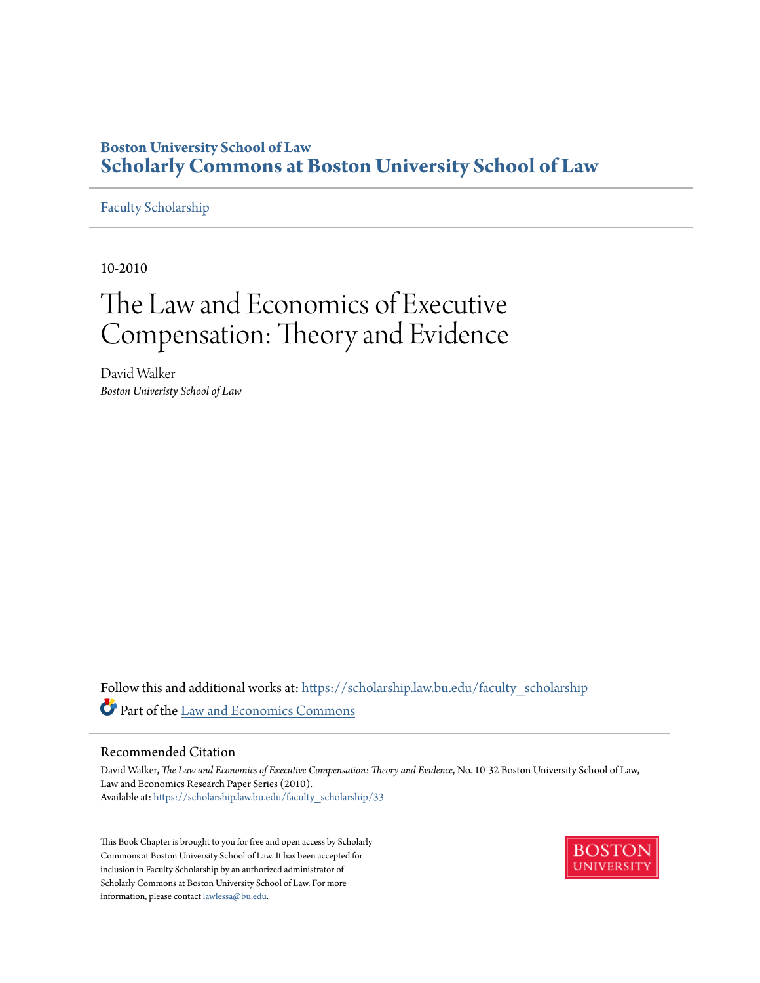# **Boston University School of Law [Scholarly Commons at Boston University School of Law](https://scholarship.law.bu.edu?utm_source=scholarship.law.bu.edu%2Ffaculty_scholarship%2F33&utm_medium=PDF&utm_campaign=PDFCoverPages)**

# [Faculty Scholarship](https://scholarship.law.bu.edu/faculty_scholarship?utm_source=scholarship.law.bu.edu%2Ffaculty_scholarship%2F33&utm_medium=PDF&utm_campaign=PDFCoverPages)

10-2010

# The Law and Economics of Executive Compensation: Theory and Evidence

David Walker *Boston Univeristy School of Law*

Follow this and additional works at: [https://scholarship.law.bu.edu/faculty\\_scholarship](https://scholarship.law.bu.edu/faculty_scholarship?utm_source=scholarship.law.bu.edu%2Ffaculty_scholarship%2F33&utm_medium=PDF&utm_campaign=PDFCoverPages) Part of the [Law and Economics Commons](http://network.bepress.com/hgg/discipline/612?utm_source=scholarship.law.bu.edu%2Ffaculty_scholarship%2F33&utm_medium=PDF&utm_campaign=PDFCoverPages)

### Recommended Citation

David Walker, *The Law and Economics of Executive Compensation: Theory and Evidence*, No. 10-32 Boston University School of Law, Law and Economics Research Paper Series (2010). Available at: [https://scholarship.law.bu.edu/faculty\\_scholarship/33](https://scholarship.law.bu.edu/faculty_scholarship/33?utm_source=scholarship.law.bu.edu%2Ffaculty_scholarship%2F33&utm_medium=PDF&utm_campaign=PDFCoverPages)

This Book Chapter is brought to you for free and open access by Scholarly Commons at Boston University School of Law. It has been accepted for inclusion in Faculty Scholarship by an authorized administrator of Scholarly Commons at Boston University School of Law. For more information, please contact [lawlessa@bu.edu.](mailto:lawlessa@bu.edu)

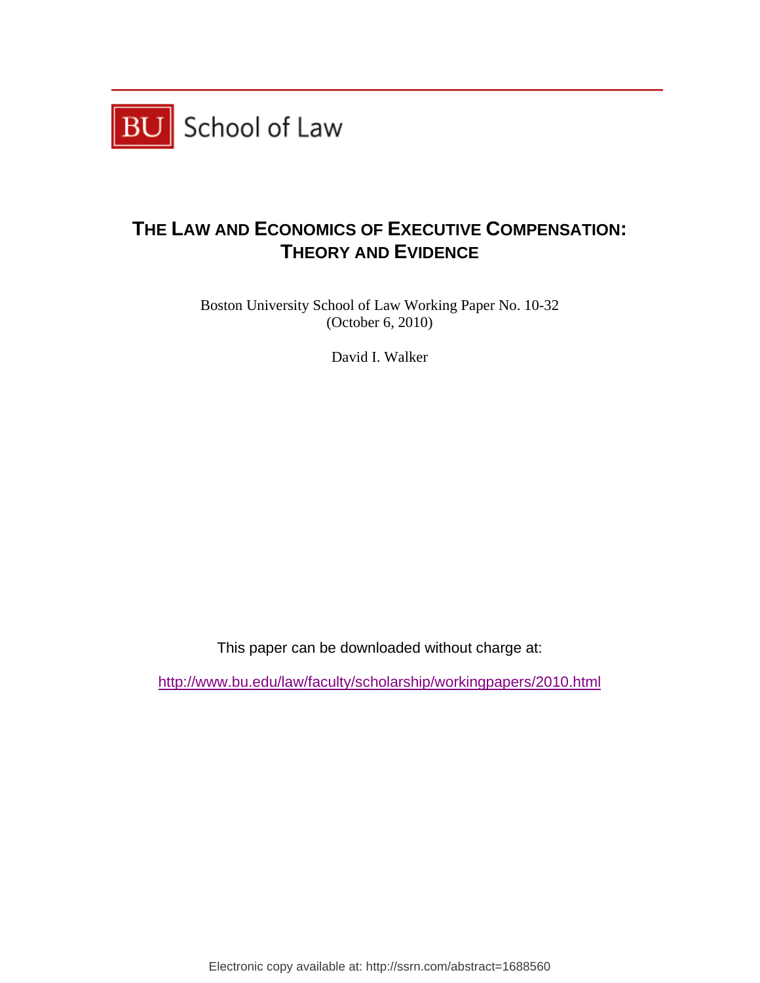

# **THE LAW AND ECONOMICS OF EXECUTIVE COMPENSATION: THEORY AND EVIDENCE**

Boston University School of Law Working Paper No. 10-32 (October 6, 2010)

David I. Walker

This paper can be downloaded without charge at:

http://www.bu.edu/law/faculty/scholarship/workingpapers/2010.html

Electronic copy available at: http://ssrn.com/abstract=1688560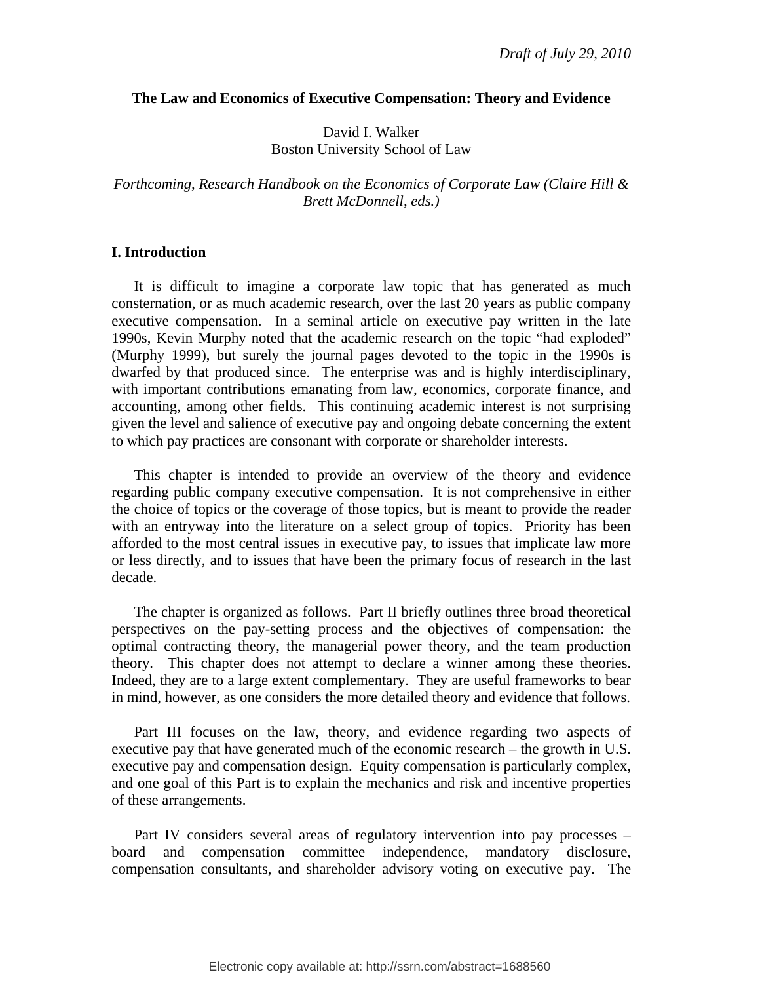#### **The Law and Economics of Executive Compensation: Theory and Evidence**

David I. Walker Boston University School of Law

*Forthcoming, Research Handbook on the Economics of Corporate Law (Claire Hill & Brett McDonnell, eds.)* 

# **I. Introduction**

 It is difficult to imagine a corporate law topic that has generated as much consternation, or as much academic research, over the last 20 years as public company executive compensation. In a seminal article on executive pay written in the late 1990s, Kevin Murphy noted that the academic research on the topic "had exploded" (Murphy 1999), but surely the journal pages devoted to the topic in the 1990s is dwarfed by that produced since. The enterprise was and is highly interdisciplinary, with important contributions emanating from law, economics, corporate finance, and accounting, among other fields. This continuing academic interest is not surprising given the level and salience of executive pay and ongoing debate concerning the extent to which pay practices are consonant with corporate or shareholder interests.

 This chapter is intended to provide an overview of the theory and evidence regarding public company executive compensation. It is not comprehensive in either the choice of topics or the coverage of those topics, but is meant to provide the reader with an entryway into the literature on a select group of topics. Priority has been afforded to the most central issues in executive pay, to issues that implicate law more or less directly, and to issues that have been the primary focus of research in the last decade.

 The chapter is organized as follows. Part II briefly outlines three broad theoretical perspectives on the pay-setting process and the objectives of compensation: the optimal contracting theory, the managerial power theory, and the team production theory. This chapter does not attempt to declare a winner among these theories. Indeed, they are to a large extent complementary. They are useful frameworks to bear in mind, however, as one considers the more detailed theory and evidence that follows.

 Part III focuses on the law, theory, and evidence regarding two aspects of executive pay that have generated much of the economic research – the growth in U.S. executive pay and compensation design. Equity compensation is particularly complex, and one goal of this Part is to explain the mechanics and risk and incentive properties of these arrangements.

 Part IV considers several areas of regulatory intervention into pay processes – board and compensation committee independence, mandatory disclosure, compensation consultants, and shareholder advisory voting on executive pay. The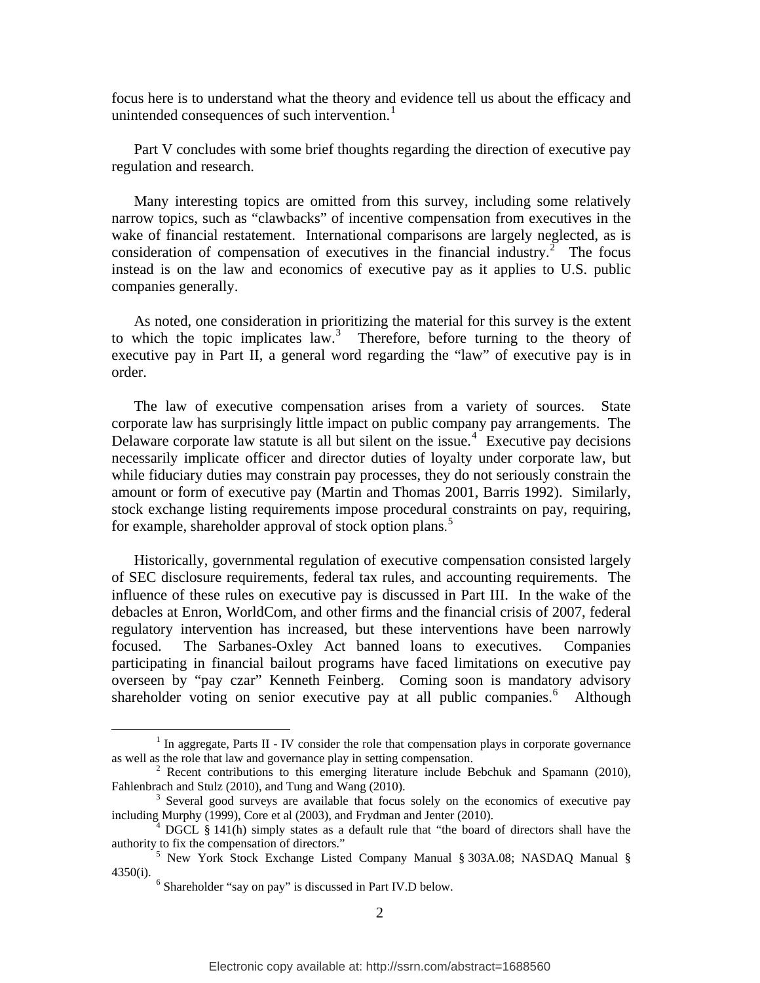focus here is to understand what the theory and evidence tell us about the efficacy and unintended consequences of such intervention.<sup>[1](#page-3-0)</sup>

 Part V concludes with some brief thoughts regarding the direction of executive pay regulation and research.

 Many interesting topics are omitted from this survey, including some relatively narrow topics, such as "clawbacks" of incentive compensation from executives in the wake of financial restatement. International comparisons are largely neglected, as is consideration of compensation of executives in the financial industry.<sup>[2](#page-3-1)</sup> The focus instead is on the law and economics of executive pay as it applies to U.S. public companies generally.

 As noted, one consideration in prioritizing the material for this survey is the extent to which the topic implicates  $law^3$  $law^3$ . Therefore, before turning to the theory of executive pay in Part II, a general word regarding the "law" of executive pay is in order.

 The law of executive compensation arises from a variety of sources. State corporate law has surprisingly little impact on public company pay arrangements. The Delaware corporate law statute is all but silent on the issue.<sup>[4](#page-3-3)</sup> Executive pay decisions necessarily implicate officer and director duties of loyalty under corporate law, but while fiduciary duties may constrain pay processes, they do not seriously constrain the amount or form of executive pay (Martin and Thomas 2001, Barris 1992). Similarly, stock exchange listing requirements impose procedural constraints on pay, requiring, for example, shareholder approval of stock option plans. [5](#page-3-4)

 Historically, governmental regulation of executive compensation consisted largely of SEC disclosure requirements, federal tax rules, and accounting requirements. The influence of these rules on executive pay is discussed in Part III. In the wake of the debacles at Enron, WorldCom, and other firms and the financial crisis of 2007, federal regulatory intervention has increased, but these interventions have been narrowly focused. The Sarbanes-Oxley Act banned loans to executives. Companies participating in financial bailout programs have faced limitations on executive pay overseen by "pay czar" Kenneth Feinberg. Coming soon is mandatory advisory shareholder voting on senior executive pay at all public companies.<sup>[6](#page-3-5)</sup> Although

<span id="page-3-0"></span> $\frac{1}{1}$  $<sup>1</sup>$  In aggregate, Parts II - IV consider the role that compensation plays in corporate governance</sup> as well as the role that law and governance play in setting compensation. 2

<span id="page-3-1"></span> $2^2$  Recent contributions to this emerging literature include Bebchuk and Spamann (2010), Fahlenbrach and Stulz (2010), and Tung and Wang (2010).

<span id="page-3-2"></span> $3$  Several good surveys are available that focus solely on the economics of executive pay including Murphy (1999), Core et al (2003), and Frydman and Jenter (2010). 4

<span id="page-3-3"></span> $4\overline{DGCL}$  § 141(h) simply states as a default rule that "the board of directors shall have the authority to fix the compensation of directors."<br><sup>5</sup> New York Stock Exchange Listed Company Manual § 303A.08; NASDAQ Manual §

<span id="page-3-5"></span><span id="page-3-4"></span><sup>4350(</sup>i).<br> $\frac{6}{5}$ Shareholder "say on pay" is discussed in Part IV.D below.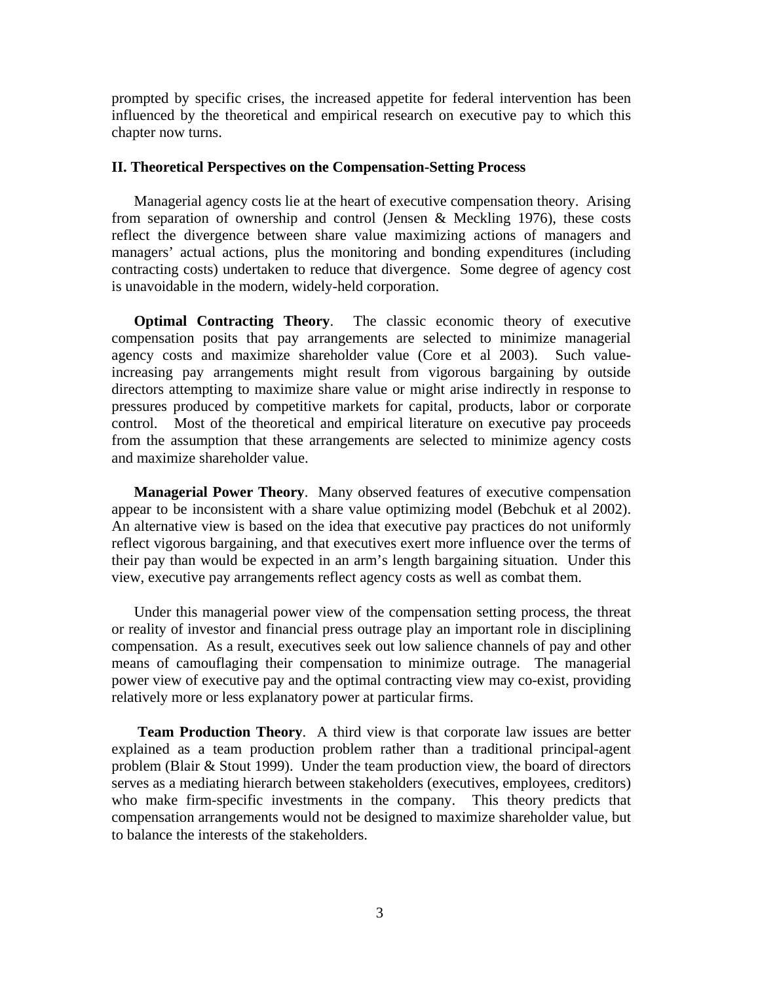prompted by specific crises, the increased appetite for federal intervention has been influenced by the theoretical and empirical research on executive pay to which this chapter now turns.

# **II. Theoretical Perspectives on the Compensation-Setting Process**

 Managerial agency costs lie at the heart of executive compensation theory. Arising from separation of ownership and control (Jensen & Meckling 1976), these costs reflect the divergence between share value maximizing actions of managers and managers' actual actions, plus the monitoring and bonding expenditures (including contracting costs) undertaken to reduce that divergence. Some degree of agency cost is unavoidable in the modern, widely-held corporation.

**Optimal Contracting Theory**. The classic economic theory of executive compensation posits that pay arrangements are selected to minimize managerial agency costs and maximize shareholder value (Core et al 2003). Such valueincreasing pay arrangements might result from vigorous bargaining by outside directors attempting to maximize share value or might arise indirectly in response to pressures produced by competitive markets for capital, products, labor or corporate control. Most of the theoretical and empirical literature on executive pay proceeds from the assumption that these arrangements are selected to minimize agency costs and maximize shareholder value.

**Managerial Power Theory**. Many observed features of executive compensation appear to be inconsistent with a share value optimizing model (Bebchuk et al 2002). An alternative view is based on the idea that executive pay practices do not uniformly reflect vigorous bargaining, and that executives exert more influence over the terms of their pay than would be expected in an arm's length bargaining situation. Under this view, executive pay arrangements reflect agency costs as well as combat them.

 Under this managerial power view of the compensation setting process, the threat or reality of investor and financial press outrage play an important role in disciplining compensation. As a result, executives seek out low salience channels of pay and other means of camouflaging their compensation to minimize outrage. The managerial power view of executive pay and the optimal contracting view may co-exist, providing relatively more or less explanatory power at particular firms.

 **Team Production Theory**. A third view is that corporate law issues are better explained as a team production problem rather than a traditional principal-agent problem (Blair & Stout 1999). Under the team production view, the board of directors serves as a mediating hierarch between stakeholders (executives, employees, creditors) who make firm-specific investments in the company. This theory predicts that compensation arrangements would not be designed to maximize shareholder value, but to balance the interests of the stakeholders.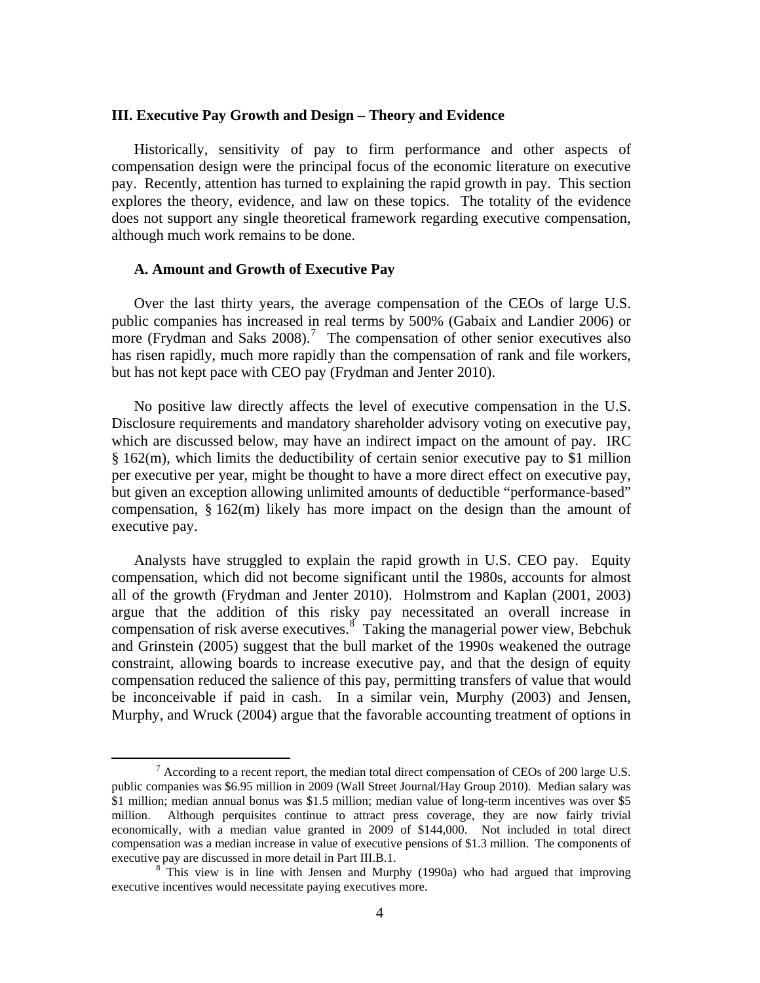#### **III. Executive Pay Growth and Design – Theory and Evidence**

 Historically, sensitivity of pay to firm performance and other aspects of compensation design were the principal focus of the economic literature on executive pay. Recently, attention has turned to explaining the rapid growth in pay. This section explores the theory, evidence, and law on these topics. The totality of the evidence does not support any single theoretical framework regarding executive compensation, although much work remains to be done.

# **A. Amount and Growth of Executive Pay**

 Over the last thirty years, the average compensation of the CEOs of large U.S. public companies has increased in real terms by 500% (Gabaix and Landier 2006) or more (Frydman and Saks  $2008$ ).<sup>[7](#page-5-0)</sup> The compensation of other senior executives also has risen rapidly, much more rapidly than the compensation of rank and file workers, but has not kept pace with CEO pay (Frydman and Jenter 2010).

 No positive law directly affects the level of executive compensation in the U.S. Disclosure requirements and mandatory shareholder advisory voting on executive pay, which are discussed below, may have an indirect impact on the amount of pay. IRC § 162(m), which limits the deductibility of certain senior executive pay to \$1 million per executive per year, might be thought to have a more direct effect on executive pay, but given an exception allowing unlimited amounts of deductible "performance-based" compensation, § 162(m) likely has more impact on the design than the amount of executive pay.

 Analysts have struggled to explain the rapid growth in U.S. CEO pay. Equity compensation, which did not become significant until the 1980s, accounts for almost all of the growth (Frydman and Jenter 2010). Holmstrom and Kaplan (2001, 2003) argue that the addition of this risky pay necessitated an overall increase in compensation of risk averse executives.<sup>[8](#page-5-1)</sup> Taking the managerial power view, Bebchuk and Grinstein (2005) suggest that the bull market of the 1990s weakened the outrage constraint, allowing boards to increase executive pay, and that the design of equity compensation reduced the salience of this pay, permitting transfers of value that would be inconceivable if paid in cash. In a similar vein, Murphy (2003) and Jensen, Murphy, and Wruck (2004) argue that the favorable accounting treatment of options in

<span id="page-5-0"></span> <sup>7</sup>  $^7$  According to a recent report, the median total direct compensation of CEOs of 200 large U.S. public companies was \$6.95 million in 2009 (Wall Street Journal/Hay Group 2010). Median salary was \$1 million; median annual bonus was \$1.5 million; median value of long-term incentives was over \$5 million. Although perquisites continue to attract press coverage, they are now fairly trivial economically, with a median value granted in 2009 of \$144,000. Not included in total direct compensation was a median increase in value of executive pensions of \$1.3 million. The components of executive pay are discussed in more detail in Part III.B.1.

<span id="page-5-1"></span> $8$ <sup>This</sup> view is in line with Jensen and Murphy (1990a) who had argued that improving executive incentives would necessitate paying executives more.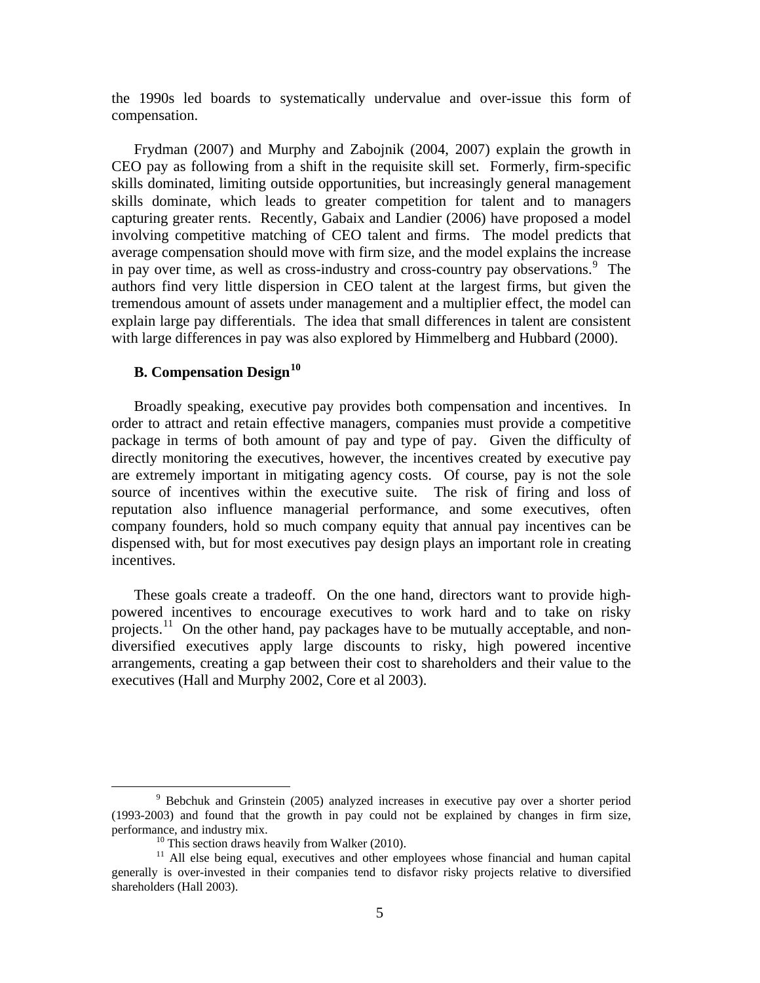the 1990s led boards to systematically undervalue and over-issue this form of compensation.

 Frydman (2007) and Murphy and Zabojnik (2004, 2007) explain the growth in CEO pay as following from a shift in the requisite skill set. Formerly, firm-specific skills dominated, limiting outside opportunities, but increasingly general management skills dominate, which leads to greater competition for talent and to managers capturing greater rents. Recently, Gabaix and Landier (2006) have proposed a model involving competitive matching of CEO talent and firms. The model predicts that average compensation should move with firm size, and the model explains the increase in pay over time, as well as cross-industry and cross-country pay observations.<sup>[9](#page-6-0)</sup> The authors find very little dispersion in CEO talent at the largest firms, but given the tremendous amount of assets under management and a multiplier effect, the model can explain large pay differentials. The idea that small differences in talent are consistent with large differences in pay was also explored by Himmelberg and Hubbard (2000).

# **B. Compensation Design[10](#page-6-1)**

 Broadly speaking, executive pay provides both compensation and incentives. In order to attract and retain effective managers, companies must provide a competitive package in terms of both amount of pay and type of pay. Given the difficulty of directly monitoring the executives, however, the incentives created by executive pay are extremely important in mitigating agency costs. Of course, pay is not the sole source of incentives within the executive suite. The risk of firing and loss of reputation also influence managerial performance, and some executives, often company founders, hold so much company equity that annual pay incentives can be dispensed with, but for most executives pay design plays an important role in creating incentives.

 These goals create a tradeoff. On the one hand, directors want to provide highpowered incentives to encourage executives to work hard and to take on risky projects.<sup>[11](#page-6-2)</sup> On the other hand, pay packages have to be mutually acceptable, and nondiversified executives apply large discounts to risky, high powered incentive arrangements, creating a gap between their cost to shareholders and their value to the executives (Hall and Murphy 2002, Core et al 2003).

<span id="page-6-0"></span> $\frac{1}{9}$  Bebchuk and Grinstein (2005) analyzed increases in executive pay over a shorter period (1993-2003) and found that the growth in pay could not be explained by changes in firm size, performance, and industry mix.<br><sup>10</sup> This section draws heavily from Walker (2010).<br><sup>11</sup> All else being equal, executives and other employees whose financial and human capital

<span id="page-6-2"></span><span id="page-6-1"></span>generally is over-invested in their companies tend to disfavor risky projects relative to diversified shareholders (Hall 2003).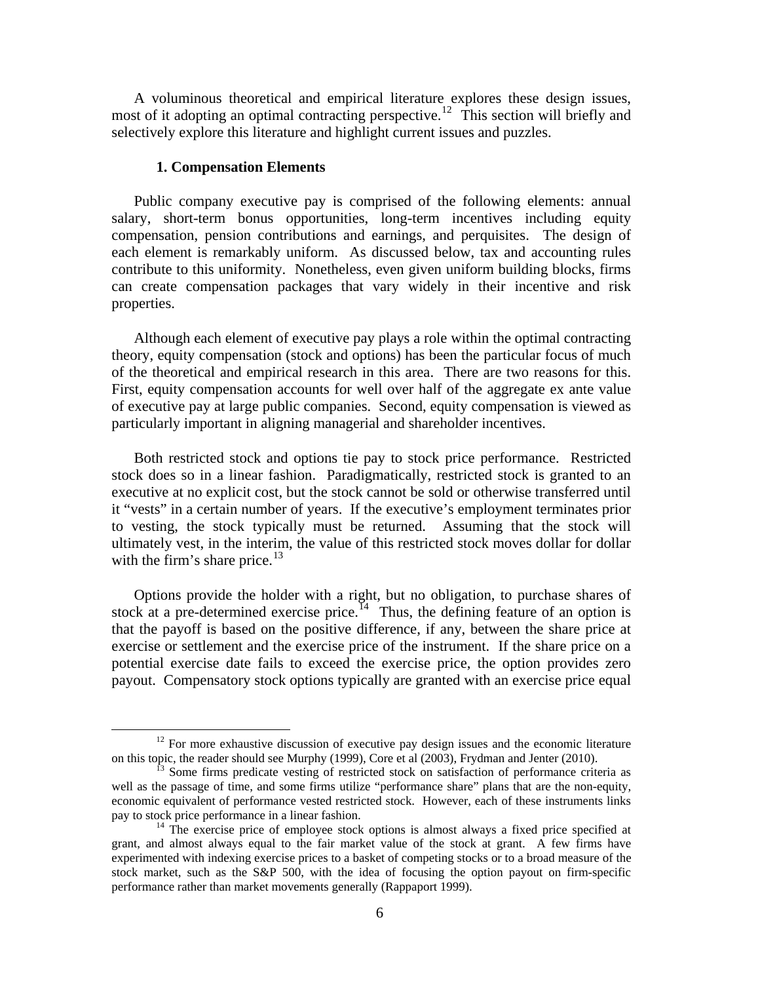A voluminous theoretical and empirical literature explores these design issues, most of it adopting an optimal contracting perspective.<sup>[12](#page-7-0)</sup> This section will briefly and selectively explore this literature and highlight current issues and puzzles.

# **1. Compensation Elements**

 Public company executive pay is comprised of the following elements: annual salary, short-term bonus opportunities, long-term incentives including equity compensation, pension contributions and earnings, and perquisites. The design of each element is remarkably uniform. As discussed below, tax and accounting rules contribute to this uniformity. Nonetheless, even given uniform building blocks, firms can create compensation packages that vary widely in their incentive and risk properties.

 Although each element of executive pay plays a role within the optimal contracting theory, equity compensation (stock and options) has been the particular focus of much of the theoretical and empirical research in this area. There are two reasons for this. First, equity compensation accounts for well over half of the aggregate ex ante value of executive pay at large public companies. Second, equity compensation is viewed as particularly important in aligning managerial and shareholder incentives.

 Both restricted stock and options tie pay to stock price performance. Restricted stock does so in a linear fashion. Paradigmatically, restricted stock is granted to an executive at no explicit cost, but the stock cannot be sold or otherwise transferred until it "vests" in a certain number of years. If the executive's employment terminates prior to vesting, the stock typically must be returned. Assuming that the stock will ultimately vest, in the interim, the value of this restricted stock moves dollar for dollar with the firm's share price. $13$ 

 Options provide the holder with a right, but no obligation, to purchase shares of stock at a pre-determined exercise price.<sup>[14](#page-7-2)</sup> Thus, the defining feature of an option is that the payoff is based on the positive difference, if any, between the share price at exercise or settlement and the exercise price of the instrument. If the share price on a potential exercise date fails to exceed the exercise price, the option provides zero payout. Compensatory stock options typically are granted with an exercise price equal

<span id="page-7-0"></span><sup>&</sup>lt;sup>12</sup> For more exhaustive discussion of executive pay design issues and the economic literature on this topic, the reader should see Murphy (1999), Core et al (2003), Frydman and Jenter (2010).

<span id="page-7-1"></span> $\frac{13}{3}$  Some firms predicate vesting of restricted stock on satisfaction of performance criteria as well as the passage of time, and some firms utilize "performance share" plans that are the non-equity, economic equivalent of performance vested restricted stock. However, each of these instruments links pay to stock price performance in a linear fashion.<br><sup>14</sup> The exercise price of employee stock options is almost always a fixed price specified at

<span id="page-7-2"></span>grant, and almost always equal to the fair market value of the stock at grant. A few firms have experimented with indexing exercise prices to a basket of competing stocks or to a broad measure of the stock market, such as the S&P 500, with the idea of focusing the option payout on firm-specific performance rather than market movements generally (Rappaport 1999).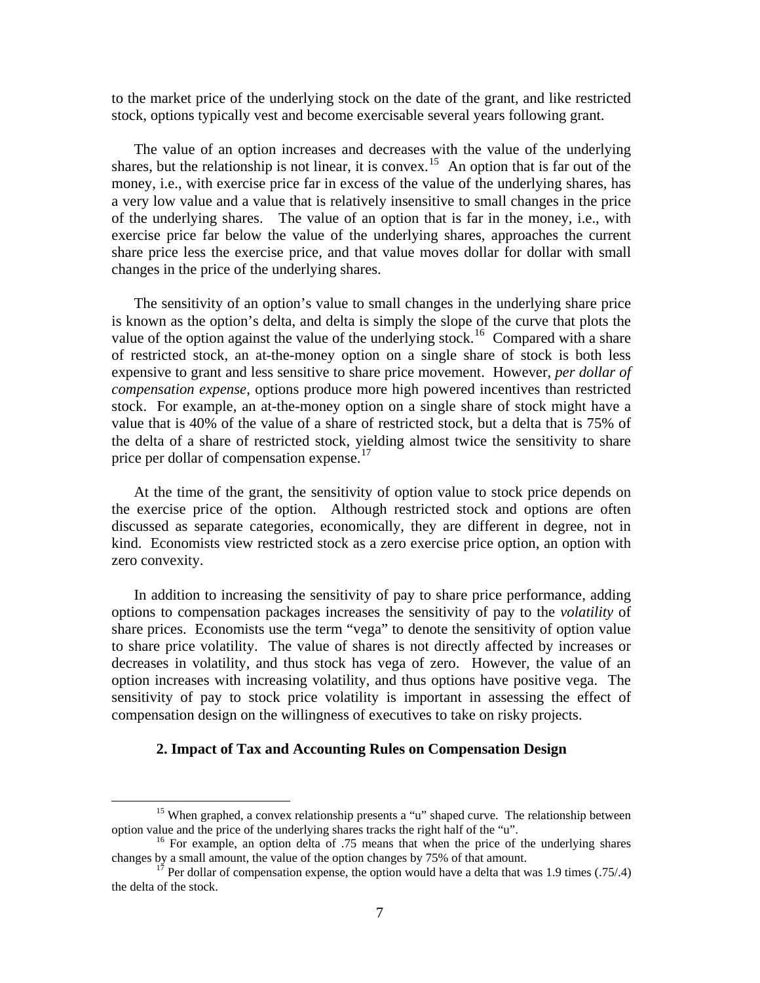to the market price of the underlying stock on the date of the grant, and like restricted stock, options typically vest and become exercisable several years following grant.

 The value of an option increases and decreases with the value of the underlying shares, but the relationship is not linear, it is convex.<sup>[15](#page-8-0)</sup> An option that is far out of the money, i.e., with exercise price far in excess of the value of the underlying shares, has a very low value and a value that is relatively insensitive to small changes in the price of the underlying shares. The value of an option that is far in the money, i.e., with exercise price far below the value of the underlying shares, approaches the current share price less the exercise price, and that value moves dollar for dollar with small changes in the price of the underlying shares.

 The sensitivity of an option's value to small changes in the underlying share price is known as the option's delta, and delta is simply the slope of the curve that plots the value of the option against the value of the underlying stock.<sup>[16](#page-8-1)</sup> Compared with a share of restricted stock, an at-the-money option on a single share of stock is both less expensive to grant and less sensitive to share price movement. However, *per dollar of compensation expense*, options produce more high powered incentives than restricted stock. For example, an at-the-money option on a single share of stock might have a value that is 40% of the value of a share of restricted stock, but a delta that is 75% of the delta of a share of restricted stock, yielding almost twice the sensitivity to share price per dollar of compensation expense.<sup>[17](#page-8-2)</sup>

 At the time of the grant, the sensitivity of option value to stock price depends on the exercise price of the option. Although restricted stock and options are often discussed as separate categories, economically, they are different in degree, not in kind. Economists view restricted stock as a zero exercise price option, an option with zero convexity.

 In addition to increasing the sensitivity of pay to share price performance, adding options to compensation packages increases the sensitivity of pay to the *volatility* of share prices. Economists use the term "vega" to denote the sensitivity of option value to share price volatility. The value of shares is not directly affected by increases or decreases in volatility, and thus stock has vega of zero. However, the value of an option increases with increasing volatility, and thus options have positive vega. The sensitivity of pay to stock price volatility is important in assessing the effect of compensation design on the willingness of executives to take on risky projects.

# **2. Impact of Tax and Accounting Rules on Compensation Design**

<sup>&</sup>lt;sup>15</sup> When graphed, a convex relationship presents a "u" shaped curve. The relationship between

<span id="page-8-1"></span><span id="page-8-0"></span>option value and the price of the underlying shares tracks the right half of the "u".<br><sup>16</sup> For example, an option delta of .75 means that when the price of the underlying shares changes by a small amount, the value of the

<span id="page-8-2"></span> $1^7$  Per dollar of compensation expense, the option would have a delta that was 1.9 times (.75/.4) the delta of the stock.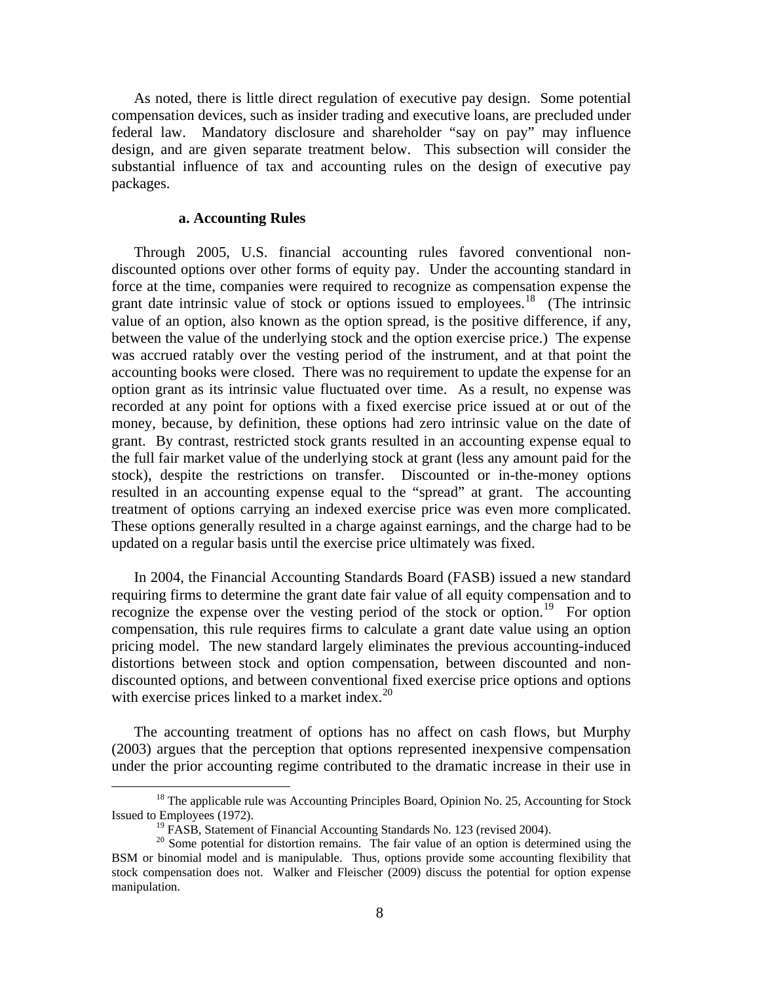As noted, there is little direct regulation of executive pay design. Some potential compensation devices, such as insider trading and executive loans, are precluded under federal law. Mandatory disclosure and shareholder "say on pay" may influence design, and are given separate treatment below. This subsection will consider the substantial influence of tax and accounting rules on the design of executive pay packages.

# **a. Accounting Rules**

 Through 2005, U.S. financial accounting rules favored conventional nondiscounted options over other forms of equity pay. Under the accounting standard in force at the time, companies were required to recognize as compensation expense the grant date intrinsic value of stock or options issued to employees.<sup>[18](#page-9-0)</sup> (The intrinsic value of an option, also known as the option spread, is the positive difference, if any, between the value of the underlying stock and the option exercise price.) The expense was accrued ratably over the vesting period of the instrument, and at that point the accounting books were closed. There was no requirement to update the expense for an option grant as its intrinsic value fluctuated over time. As a result, no expense was recorded at any point for options with a fixed exercise price issued at or out of the money, because, by definition, these options had zero intrinsic value on the date of grant. By contrast, restricted stock grants resulted in an accounting expense equal to the full fair market value of the underlying stock at grant (less any amount paid for the stock), despite the restrictions on transfer. Discounted or in-the-money options resulted in an accounting expense equal to the "spread" at grant. The accounting treatment of options carrying an indexed exercise price was even more complicated. These options generally resulted in a charge against earnings, and the charge had to be updated on a regular basis until the exercise price ultimately was fixed.

 In 2004, the Financial Accounting Standards Board (FASB) issued a new standard requiring firms to determine the grant date fair value of all equity compensation and to recognize the expense over the vesting period of the stock or option.<sup>[19](#page-9-1)</sup> For option compensation, this rule requires firms to calculate a grant date value using an option pricing model. The new standard largely eliminates the previous accounting-induced distortions between stock and option compensation, between discounted and nondiscounted options, and between conventional fixed exercise price options and options with exercise prices linked to a market index. $^{20}$  $^{20}$  $^{20}$ 

 The accounting treatment of options has no affect on cash flows, but Murphy (2003) argues that the perception that options represented inexpensive compensation under the prior accounting regime contributed to the dramatic increase in their use in

<span id="page-9-0"></span><sup>&</sup>lt;sup>18</sup> The applicable rule was Accounting Principles Board, Opinion No. 25, Accounting for Stock Issued to Employees (1972).

<sup>&</sup>lt;sup>19</sup> FASB, Statement of Financial Accounting Standards No. 123 (revised 2004).

<span id="page-9-2"></span><span id="page-9-1"></span> $20$  Some potential for distortion remains. The fair value of an option is determined using the BSM or binomial model and is manipulable. Thus, options provide some accounting flexibility that stock compensation does not. Walker and Fleischer (2009) discuss the potential for option expense manipulation.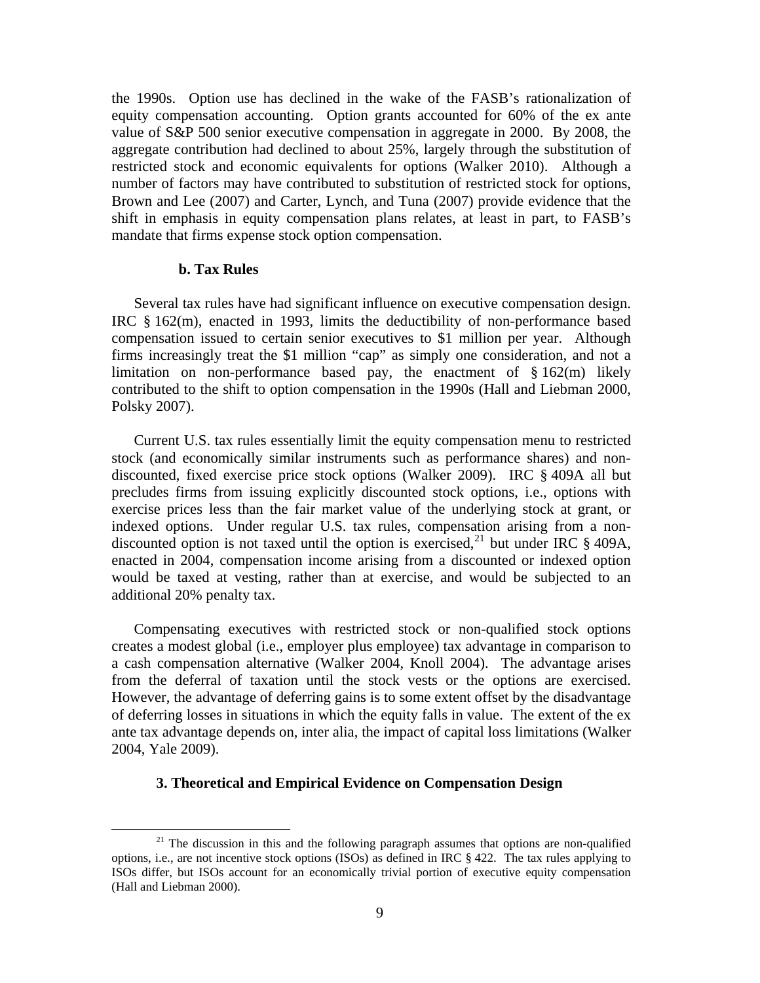the 1990s. Option use has declined in the wake of the FASB's rationalization of equity compensation accounting. Option grants accounted for 60% of the ex ante value of S&P 500 senior executive compensation in aggregate in 2000. By 2008, the aggregate contribution had declined to about 25%, largely through the substitution of restricted stock and economic equivalents for options (Walker 2010). Although a number of factors may have contributed to substitution of restricted stock for options, Brown and Lee (2007) and Carter, Lynch, and Tuna (2007) provide evidence that the shift in emphasis in equity compensation plans relates, at least in part, to FASB's mandate that firms expense stock option compensation.

#### **b. Tax Rules**

 Several tax rules have had significant influence on executive compensation design. IRC § 162(m), enacted in 1993, limits the deductibility of non-performance based compensation issued to certain senior executives to \$1 million per year. Although firms increasingly treat the \$1 million "cap" as simply one consideration, and not a limitation on non-performance based pay, the enactment of  $\S 162(m)$  likely contributed to the shift to option compensation in the 1990s (Hall and Liebman 2000, Polsky 2007).

 Current U.S. tax rules essentially limit the equity compensation menu to restricted stock (and economically similar instruments such as performance shares) and nondiscounted, fixed exercise price stock options (Walker 2009). IRC § 409A all but precludes firms from issuing explicitly discounted stock options, i.e., options with exercise prices less than the fair market value of the underlying stock at grant, or indexed options. Under regular U.S. tax rules, compensation arising from a nondiscounted option is not taxed until the option is exercised,  $^{21}$  $^{21}$  $^{21}$  but under IRC § 409A, enacted in 2004, compensation income arising from a discounted or indexed option would be taxed at vesting, rather than at exercise, and would be subjected to an additional 20% penalty tax.

 Compensating executives with restricted stock or non-qualified stock options creates a modest global (i.e., employer plus employee) tax advantage in comparison to a cash compensation alternative (Walker 2004, Knoll 2004). The advantage arises from the deferral of taxation until the stock vests or the options are exercised. However, the advantage of deferring gains is to some extent offset by the disadvantage of deferring losses in situations in which the equity falls in value. The extent of the ex ante tax advantage depends on, inter alia, the impact of capital loss limitations (Walker 2004, Yale 2009).

#### **3. Theoretical and Empirical Evidence on Compensation Design**

<span id="page-10-0"></span> $2<sup>1</sup>$  The discussion in this and the following paragraph assumes that options are non-qualified options, i.e., are not incentive stock options (ISOs) as defined in IRC  $\S$  422. The tax rules applying to ISOs differ, but ISOs account for an economically trivial portion of executive equity compensation (Hall and Liebman 2000).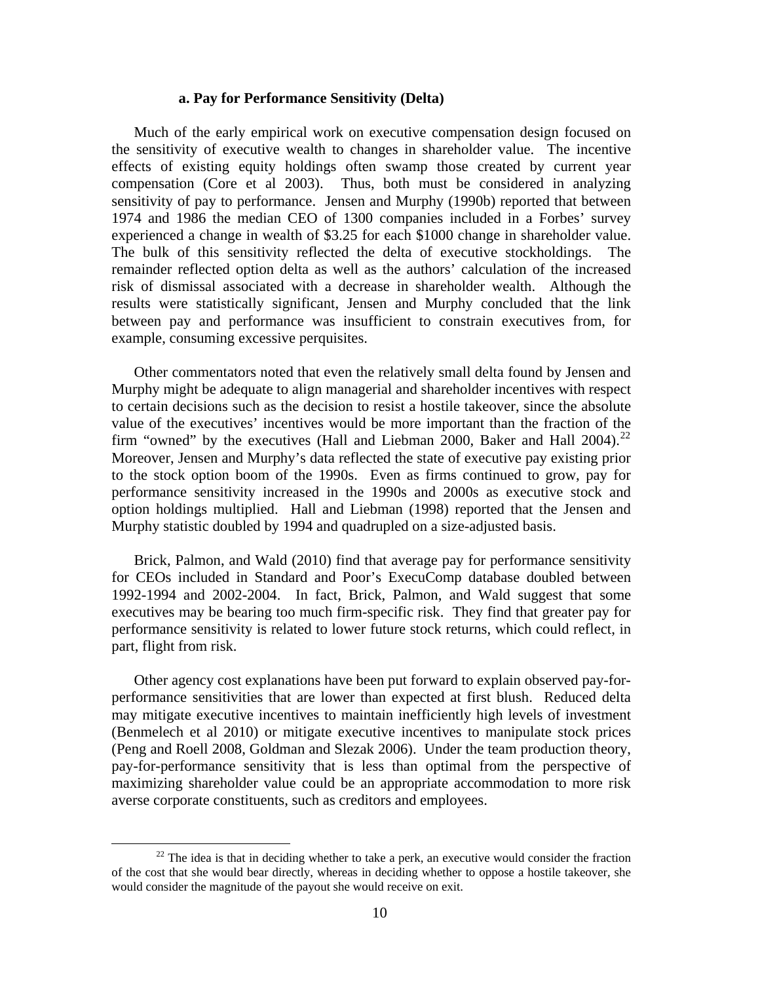# **a. Pay for Performance Sensitivity (Delta)**

 Much of the early empirical work on executive compensation design focused on the sensitivity of executive wealth to changes in shareholder value. The incentive effects of existing equity holdings often swamp those created by current year compensation (Core et al 2003). Thus, both must be considered in analyzing sensitivity of pay to performance. Jensen and Murphy (1990b) reported that between 1974 and 1986 the median CEO of 1300 companies included in a Forbes' survey experienced a change in wealth of \$3.25 for each \$1000 change in shareholder value. The bulk of this sensitivity reflected the delta of executive stockholdings. remainder reflected option delta as well as the authors' calculation of the increased risk of dismissal associated with a decrease in shareholder wealth. Although the results were statistically significant, Jensen and Murphy concluded that the link between pay and performance was insufficient to constrain executives from, for example, consuming excessive perquisites.

 Other commentators noted that even the relatively small delta found by Jensen and Murphy might be adequate to align managerial and shareholder incentives with respect to certain decisions such as the decision to resist a hostile takeover, since the absolute value of the executives' incentives would be more important than the fraction of the firm "owned" by the executives (Hall and Liebman 2000, Baker and Hall 2004).<sup>[22](#page-11-0)</sup> Moreover, Jensen and Murphy's data reflected the state of executive pay existing prior to the stock option boom of the 1990s. Even as firms continued to grow, pay for performance sensitivity increased in the 1990s and 2000s as executive stock and option holdings multiplied. Hall and Liebman (1998) reported that the Jensen and Murphy statistic doubled by 1994 and quadrupled on a size-adjusted basis.

 Brick, Palmon, and Wald (2010) find that average pay for performance sensitivity for CEOs included in Standard and Poor's ExecuComp database doubled between 1992-1994 and 2002-2004. In fact, Brick, Palmon, and Wald suggest that some executives may be bearing too much firm-specific risk. They find that greater pay for performance sensitivity is related to lower future stock returns, which could reflect, in part, flight from risk.

 Other agency cost explanations have been put forward to explain observed pay-forperformance sensitivities that are lower than expected at first blush. Reduced delta may mitigate executive incentives to maintain inefficiently high levels of investment (Benmelech et al 2010) or mitigate executive incentives to manipulate stock prices (Peng and Roell 2008, Goldman and Slezak 2006). Under the team production theory, pay-for-performance sensitivity that is less than optimal from the perspective of maximizing shareholder value could be an appropriate accommodation to more risk averse corporate constituents, such as creditors and employees.

<span id="page-11-0"></span> $22$  The idea is that in deciding whether to take a perk, an executive would consider the fraction of the cost that she would bear directly, whereas in deciding whether to oppose a hostile takeover, she would consider the magnitude of the payout she would receive on exit.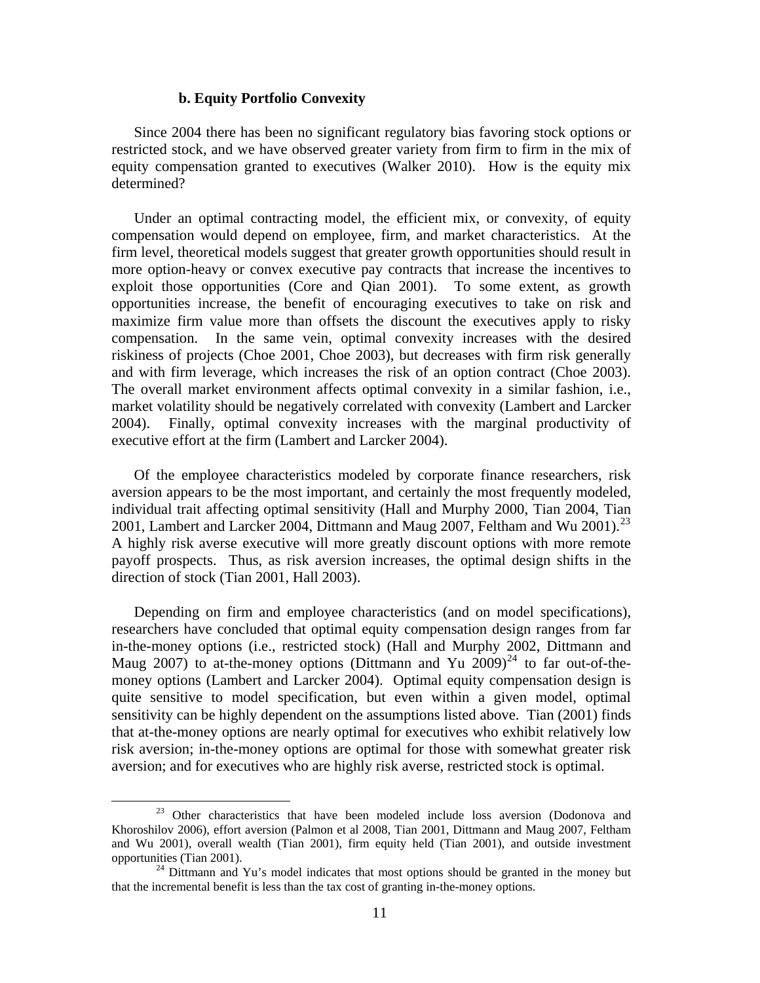# **b. Equity Portfolio Convexity**

 Since 2004 there has been no significant regulatory bias favoring stock options or restricted stock, and we have observed greater variety from firm to firm in the mix of equity compensation granted to executives (Walker 2010). How is the equity mix determined?

 Under an optimal contracting model, the efficient mix, or convexity, of equity compensation would depend on employee, firm, and market characteristics. At the firm level, theoretical models suggest that greater growth opportunities should result in more option-heavy or convex executive pay contracts that increase the incentives to exploit those opportunities (Core and Qian 2001). To some extent, as growth opportunities increase, the benefit of encouraging executives to take on risk and maximize firm value more than offsets the discount the executives apply to risky compensation. In the same vein, optimal convexity increases with the desired riskiness of projects (Choe 2001, Choe 2003), but decreases with firm risk generally and with firm leverage, which increases the risk of an option contract (Choe 2003). The overall market environment affects optimal convexity in a similar fashion, i.e., market volatility should be negatively correlated with convexity (Lambert and Larcker 2004). Finally, optimal convexity increases with the marginal productivity of executive effort at the firm (Lambert and Larcker 2004).

 Of the employee characteristics modeled by corporate finance researchers, risk aversion appears to be the most important, and certainly the most frequently modeled, individual trait affecting optimal sensitivity (Hall and Murphy 2000, Tian 2004, Tian 2001, Lambert and Larcker 2004, Dittmann and Maug 2007, Feltham and Wu 2001).<sup>[23](#page-12-0)</sup> A highly risk averse executive will more greatly discount options with more remote payoff prospects. Thus, as risk aversion increases, the optimal design shifts in the direction of stock (Tian 2001, Hall 2003).

 Depending on firm and employee characteristics (and on model specifications), researchers have concluded that optimal equity compensation design ranges from far in-the-money options (i.e., restricted stock) (Hall and Murphy 2002, Dittmann and Maug 2007) to at-the-money options (Dittmann and Yu 2009)<sup>[24](#page-12-1)</sup> to far out-of-themoney options (Lambert and Larcker 2004). Optimal equity compensation design is quite sensitive to model specification, but even within a given model, optimal sensitivity can be highly dependent on the assumptions listed above. Tian (2001) finds that at-the-money options are nearly optimal for executives who exhibit relatively low risk aversion; in-the-money options are optimal for those with somewhat greater risk aversion; and for executives who are highly risk averse, restricted stock is optimal.

<span id="page-12-0"></span><sup>&</sup>lt;sup>23</sup> Other characteristics that have been modeled include loss aversion (Dodonova and Khoroshilov 2006), effort aversion (Palmon et al 2008, Tian 2001, Dittmann and Maug 2007, Feltham and Wu 2001), overall wealth (Tian 2001), firm equity held (Tian 2001), and outside investment opportunities (Tian 2001).  $^{24}$  Dittmann and Yu's model indicates that most options should be granted in the money but

<span id="page-12-1"></span>that the incremental benefit is less than the tax cost of granting in-the-money options.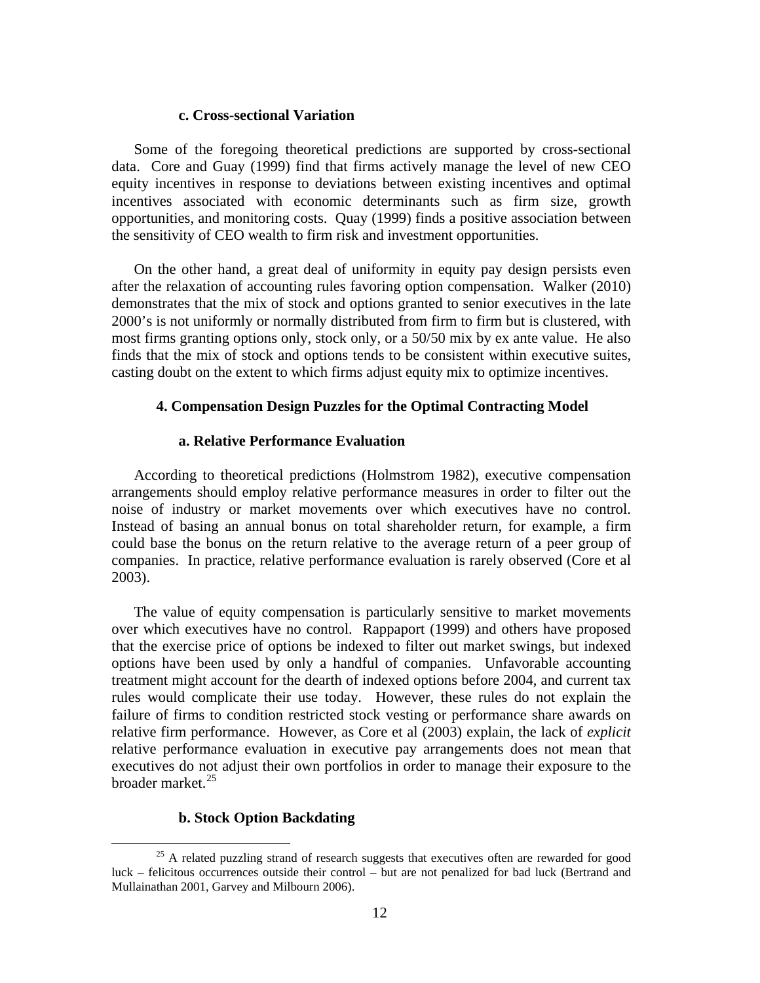# **c. Cross-sectional Variation**

 Some of the foregoing theoretical predictions are supported by cross-sectional data. Core and Guay (1999) find that firms actively manage the level of new CEO equity incentives in response to deviations between existing incentives and optimal incentives associated with economic determinants such as firm size, growth opportunities, and monitoring costs. Quay (1999) finds a positive association between the sensitivity of CEO wealth to firm risk and investment opportunities.

 On the other hand, a great deal of uniformity in equity pay design persists even after the relaxation of accounting rules favoring option compensation. Walker (2010) demonstrates that the mix of stock and options granted to senior executives in the late 2000's is not uniformly or normally distributed from firm to firm but is clustered, with most firms granting options only, stock only, or a 50/50 mix by ex ante value. He also finds that the mix of stock and options tends to be consistent within executive suites, casting doubt on the extent to which firms adjust equity mix to optimize incentives.

#### **4. Compensation Design Puzzles for the Optimal Contracting Model**

## **a. Relative Performance Evaluation**

 According to theoretical predictions (Holmstrom 1982), executive compensation arrangements should employ relative performance measures in order to filter out the noise of industry or market movements over which executives have no control. Instead of basing an annual bonus on total shareholder return, for example, a firm could base the bonus on the return relative to the average return of a peer group of companies. In practice, relative performance evaluation is rarely observed (Core et al 2003).

 The value of equity compensation is particularly sensitive to market movements over which executives have no control. Rappaport (1999) and others have proposed that the exercise price of options be indexed to filter out market swings, but indexed options have been used by only a handful of companies. Unfavorable accounting treatment might account for the dearth of indexed options before 2004, and current tax rules would complicate their use today. However, these rules do not explain the failure of firms to condition restricted stock vesting or performance share awards on relative firm performance. However, as Core et al (2003) explain, the lack of *explicit* relative performance evaluation in executive pay arrangements does not mean that executives do not adjust their own portfolios in order to manage their exposure to the broader market.<sup>[25](#page-13-0)</sup>

# **b. Stock Option Backdating**

<span id="page-13-0"></span> $25$  A related puzzling strand of research suggests that executives often are rewarded for good luck – felicitous occurrences outside their control – but are not penalized for bad luck (Bertrand and Mullainathan 2001, Garvey and Milbourn 2006).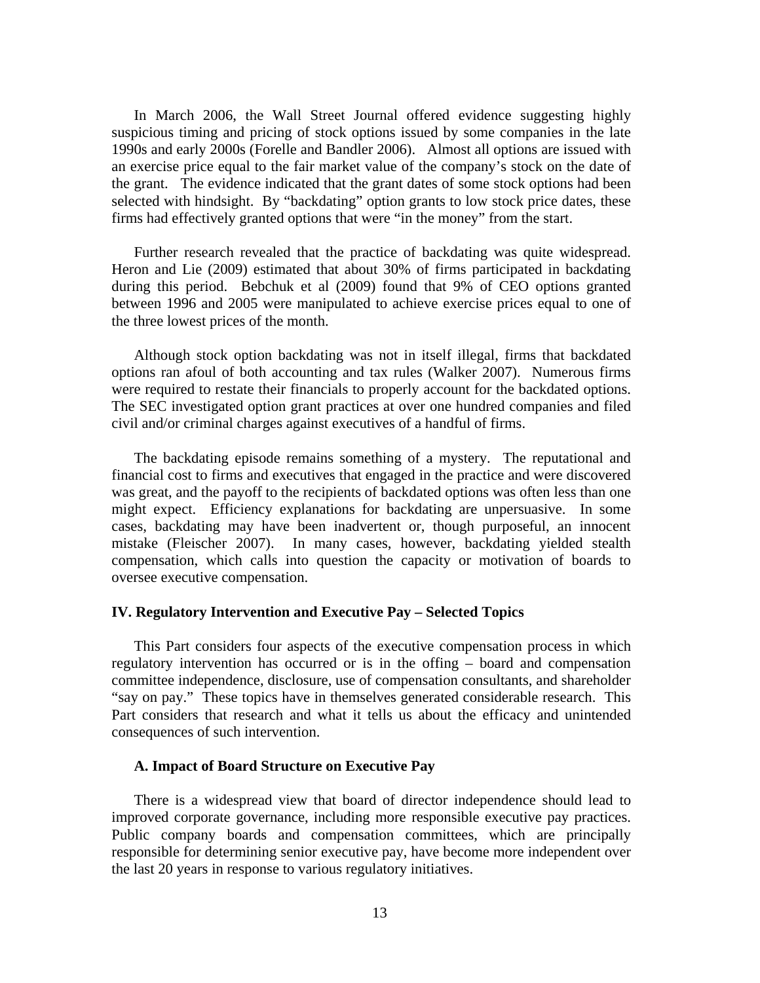In March 2006, the Wall Street Journal offered evidence suggesting highly suspicious timing and pricing of stock options issued by some companies in the late 1990s and early 2000s (Forelle and Bandler 2006). Almost all options are issued with an exercise price equal to the fair market value of the company's stock on the date of the grant. The evidence indicated that the grant dates of some stock options had been selected with hindsight. By "backdating" option grants to low stock price dates, these firms had effectively granted options that were "in the money" from the start.

 Further research revealed that the practice of backdating was quite widespread. Heron and Lie (2009) estimated that about 30% of firms participated in backdating during this period. Bebchuk et al (2009) found that 9% of CEO options granted between 1996 and 2005 were manipulated to achieve exercise prices equal to one of the three lowest prices of the month.

 Although stock option backdating was not in itself illegal, firms that backdated options ran afoul of both accounting and tax rules (Walker 2007). Numerous firms were required to restate their financials to properly account for the backdated options. The SEC investigated option grant practices at over one hundred companies and filed civil and/or criminal charges against executives of a handful of firms.

 The backdating episode remains something of a mystery. The reputational and financial cost to firms and executives that engaged in the practice and were discovered was great, and the payoff to the recipients of backdated options was often less than one might expect. Efficiency explanations for backdating are unpersuasive. In some cases, backdating may have been inadvertent or, though purposeful, an innocent mistake (Fleischer 2007). In many cases, however, backdating yielded stealth compensation, which calls into question the capacity or motivation of boards to oversee executive compensation.

#### **IV. Regulatory Intervention and Executive Pay – Selected Topics**

 This Part considers four aspects of the executive compensation process in which regulatory intervention has occurred or is in the offing – board and compensation committee independence, disclosure, use of compensation consultants, and shareholder "say on pay." These topics have in themselves generated considerable research. This Part considers that research and what it tells us about the efficacy and unintended consequences of such intervention.

#### **A. Impact of Board Structure on Executive Pay**

 There is a widespread view that board of director independence should lead to improved corporate governance, including more responsible executive pay practices. Public company boards and compensation committees, which are principally responsible for determining senior executive pay, have become more independent over the last 20 years in response to various regulatory initiatives.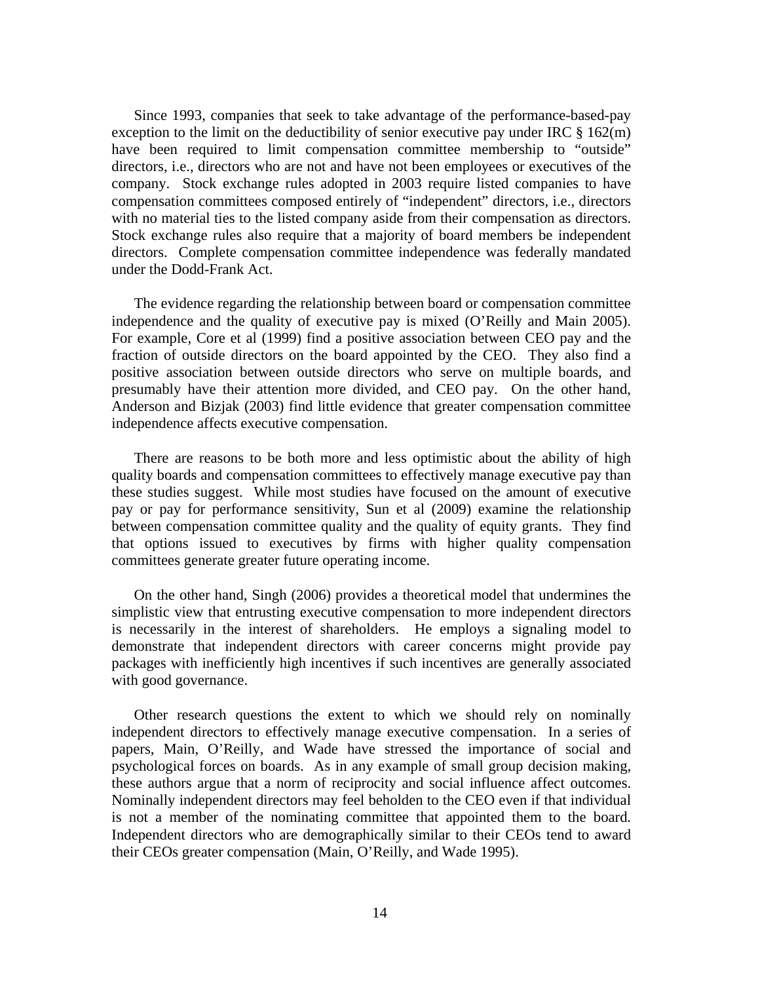Since 1993, companies that seek to take advantage of the performance-based-pay exception to the limit on the deductibility of senior executive pay under IRC  $\S 162(m)$ have been required to limit compensation committee membership to "outside" directors, i.e., directors who are not and have not been employees or executives of the company. Stock exchange rules adopted in 2003 require listed companies to have compensation committees composed entirely of "independent" directors, i.e., directors with no material ties to the listed company aside from their compensation as directors. Stock exchange rules also require that a majority of board members be independent directors. Complete compensation committee independence was federally mandated under the Dodd-Frank Act.

 The evidence regarding the relationship between board or compensation committee independence and the quality of executive pay is mixed (O'Reilly and Main 2005). For example, Core et al (1999) find a positive association between CEO pay and the fraction of outside directors on the board appointed by the CEO. They also find a positive association between outside directors who serve on multiple boards, and presumably have their attention more divided, and CEO pay. On the other hand, Anderson and Bizjak (2003) find little evidence that greater compensation committee independence affects executive compensation.

 There are reasons to be both more and less optimistic about the ability of high quality boards and compensation committees to effectively manage executive pay than these studies suggest. While most studies have focused on the amount of executive pay or pay for performance sensitivity, Sun et al (2009) examine the relationship between compensation committee quality and the quality of equity grants. They find that options issued to executives by firms with higher quality compensation committees generate greater future operating income.

 On the other hand, Singh (2006) provides a theoretical model that undermines the simplistic view that entrusting executive compensation to more independent directors is necessarily in the interest of shareholders. He employs a signaling model to demonstrate that independent directors with career concerns might provide pay packages with inefficiently high incentives if such incentives are generally associated with good governance.

 Other research questions the extent to which we should rely on nominally independent directors to effectively manage executive compensation. In a series of papers, Main, O'Reilly, and Wade have stressed the importance of social and psychological forces on boards. As in any example of small group decision making, these authors argue that a norm of reciprocity and social influence affect outcomes. Nominally independent directors may feel beholden to the CEO even if that individual is not a member of the nominating committee that appointed them to the board. Independent directors who are demographically similar to their CEOs tend to award their CEOs greater compensation (Main, O'Reilly, and Wade 1995).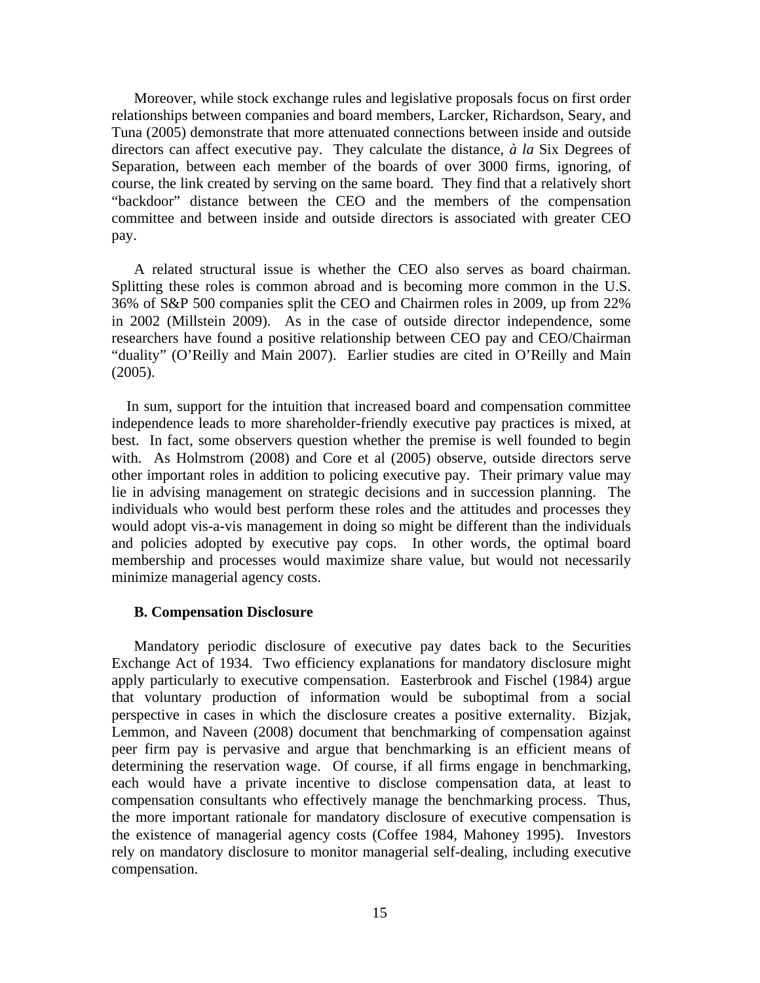Moreover, while stock exchange rules and legislative proposals focus on first order relationships between companies and board members, Larcker, Richardson, Seary, and Tuna (2005) demonstrate that more attenuated connections between inside and outside directors can affect executive pay. They calculate the distance, *à la* Six Degrees of Separation, between each member of the boards of over 3000 firms, ignoring, of course, the link created by serving on the same board. They find that a relatively short "backdoor" distance between the CEO and the members of the compensation committee and between inside and outside directors is associated with greater CEO pay.

 A related structural issue is whether the CEO also serves as board chairman. Splitting these roles is common abroad and is becoming more common in the U.S. 36% of S&P 500 companies split the CEO and Chairmen roles in 2009, up from 22% in 2002 (Millstein 2009). As in the case of outside director independence, some researchers have found a positive relationship between CEO pay and CEO/Chairman "duality" (O'Reilly and Main 2007). Earlier studies are cited in O'Reilly and Main (2005).

 In sum, support for the intuition that increased board and compensation committee independence leads to more shareholder-friendly executive pay practices is mixed, at best. In fact, some observers question whether the premise is well founded to begin with. As Holmstrom (2008) and Core et al (2005) observe, outside directors serve other important roles in addition to policing executive pay. Their primary value may lie in advising management on strategic decisions and in succession planning. The individuals who would best perform these roles and the attitudes and processes they would adopt vis-a-vis management in doing so might be different than the individuals and policies adopted by executive pay cops. In other words, the optimal board membership and processes would maximize share value, but would not necessarily minimize managerial agency costs.

#### **B. Compensation Disclosure**

 Mandatory periodic disclosure of executive pay dates back to the Securities Exchange Act of 1934. Two efficiency explanations for mandatory disclosure might apply particularly to executive compensation. Easterbrook and Fischel (1984) argue that voluntary production of information would be suboptimal from a social perspective in cases in which the disclosure creates a positive externality. Bizjak, Lemmon, and Naveen (2008) document that benchmarking of compensation against peer firm pay is pervasive and argue that benchmarking is an efficient means of determining the reservation wage. Of course, if all firms engage in benchmarking, each would have a private incentive to disclose compensation data, at least to compensation consultants who effectively manage the benchmarking process. Thus, the more important rationale for mandatory disclosure of executive compensation is the existence of managerial agency costs (Coffee 1984, Mahoney 1995). Investors rely on mandatory disclosure to monitor managerial self-dealing, including executive compensation.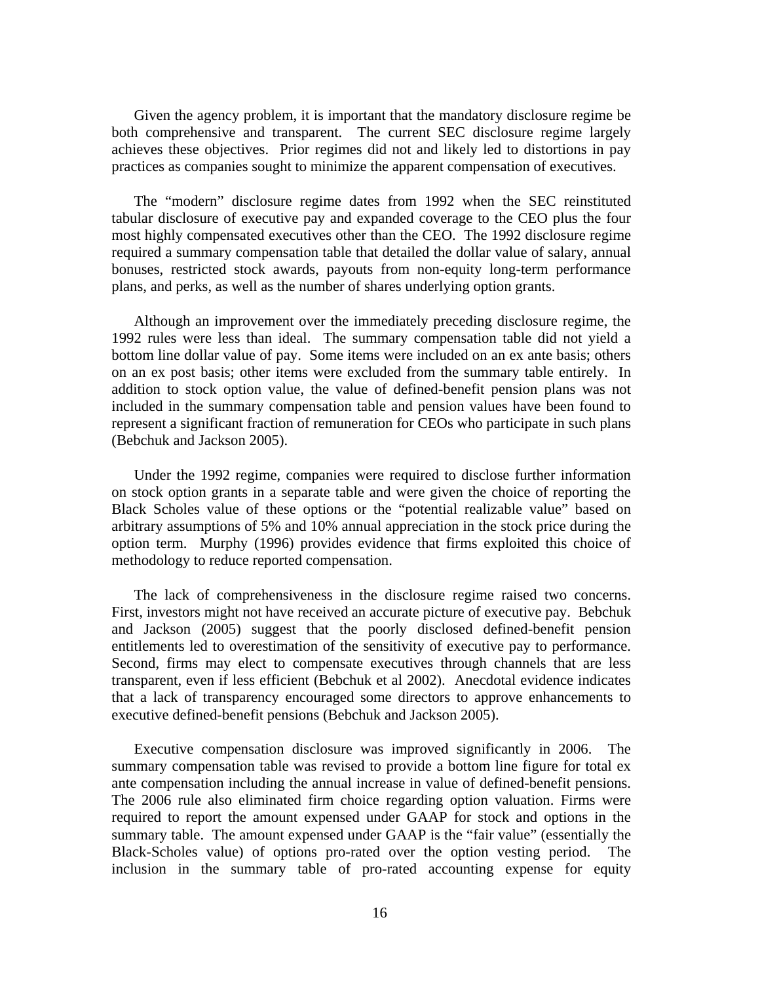Given the agency problem, it is important that the mandatory disclosure regime be both comprehensive and transparent. The current SEC disclosure regime largely achieves these objectives. Prior regimes did not and likely led to distortions in pay practices as companies sought to minimize the apparent compensation of executives.

 The "modern" disclosure regime dates from 1992 when the SEC reinstituted tabular disclosure of executive pay and expanded coverage to the CEO plus the four most highly compensated executives other than the CEO. The 1992 disclosure regime required a summary compensation table that detailed the dollar value of salary, annual bonuses, restricted stock awards, payouts from non-equity long-term performance plans, and perks, as well as the number of shares underlying option grants.

 Although an improvement over the immediately preceding disclosure regime, the 1992 rules were less than ideal. The summary compensation table did not yield a bottom line dollar value of pay. Some items were included on an ex ante basis; others on an ex post basis; other items were excluded from the summary table entirely. In addition to stock option value, the value of defined-benefit pension plans was not included in the summary compensation table and pension values have been found to represent a significant fraction of remuneration for CEOs who participate in such plans (Bebchuk and Jackson 2005).

 Under the 1992 regime, companies were required to disclose further information on stock option grants in a separate table and were given the choice of reporting the Black Scholes value of these options or the "potential realizable value" based on arbitrary assumptions of 5% and 10% annual appreciation in the stock price during the option term. Murphy (1996) provides evidence that firms exploited this choice of methodology to reduce reported compensation.

 The lack of comprehensiveness in the disclosure regime raised two concerns. First, investors might not have received an accurate picture of executive pay. Bebchuk and Jackson (2005) suggest that the poorly disclosed defined-benefit pension entitlements led to overestimation of the sensitivity of executive pay to performance. Second, firms may elect to compensate executives through channels that are less transparent, even if less efficient (Bebchuk et al 2002). Anecdotal evidence indicates that a lack of transparency encouraged some directors to approve enhancements to executive defined-benefit pensions (Bebchuk and Jackson 2005).

 Executive compensation disclosure was improved significantly in 2006. The summary compensation table was revised to provide a bottom line figure for total ex ante compensation including the annual increase in value of defined-benefit pensions. The 2006 rule also eliminated firm choice regarding option valuation. Firms were required to report the amount expensed under GAAP for stock and options in the summary table. The amount expensed under GAAP is the "fair value" (essentially the Black-Scholes value) of options pro-rated over the option vesting period. The inclusion in the summary table of pro-rated accounting expense for equity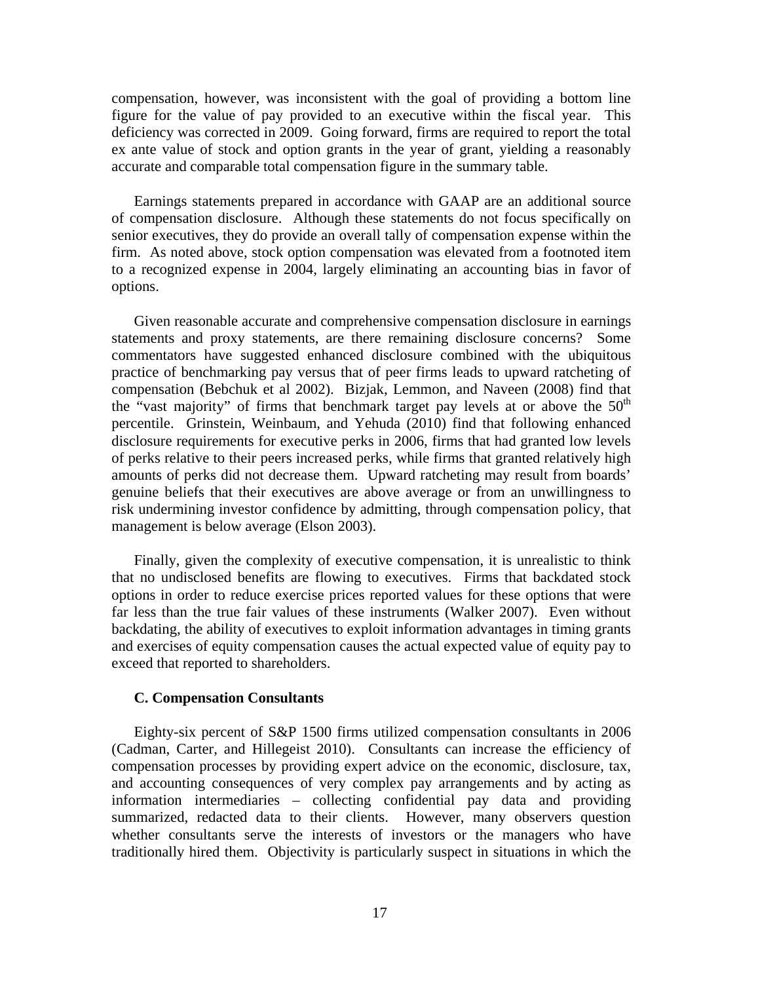compensation, however, was inconsistent with the goal of providing a bottom line figure for the value of pay provided to an executive within the fiscal year. This deficiency was corrected in 2009. Going forward, firms are required to report the total ex ante value of stock and option grants in the year of grant, yielding a reasonably accurate and comparable total compensation figure in the summary table.

 Earnings statements prepared in accordance with GAAP are an additional source of compensation disclosure. Although these statements do not focus specifically on senior executives, they do provide an overall tally of compensation expense within the firm. As noted above, stock option compensation was elevated from a footnoted item to a recognized expense in 2004, largely eliminating an accounting bias in favor of options.

 Given reasonable accurate and comprehensive compensation disclosure in earnings statements and proxy statements, are there remaining disclosure concerns? Some commentators have suggested enhanced disclosure combined with the ubiquitous practice of benchmarking pay versus that of peer firms leads to upward ratcheting of compensation (Bebchuk et al 2002). Bizjak, Lemmon, and Naveen (2008) find that the "vast majority" of firms that benchmark target pay levels at or above the  $50<sup>th</sup>$ percentile. Grinstein, Weinbaum, and Yehuda (2010) find that following enhanced disclosure requirements for executive perks in 2006, firms that had granted low levels of perks relative to their peers increased perks, while firms that granted relatively high amounts of perks did not decrease them. Upward ratcheting may result from boards' genuine beliefs that their executives are above average or from an unwillingness to risk undermining investor confidence by admitting, through compensation policy, that management is below average (Elson 2003).

 Finally, given the complexity of executive compensation, it is unrealistic to think that no undisclosed benefits are flowing to executives. Firms that backdated stock options in order to reduce exercise prices reported values for these options that were far less than the true fair values of these instruments (Walker 2007). Even without backdating, the ability of executives to exploit information advantages in timing grants and exercises of equity compensation causes the actual expected value of equity pay to exceed that reported to shareholders.

## **C. Compensation Consultants**

 Eighty-six percent of S&P 1500 firms utilized compensation consultants in 2006 (Cadman, Carter, and Hillegeist 2010). Consultants can increase the efficiency of compensation processes by providing expert advice on the economic, disclosure, tax, and accounting consequences of very complex pay arrangements and by acting as information intermediaries – collecting confidential pay data and providing summarized, redacted data to their clients. However, many observers question whether consultants serve the interests of investors or the managers who have traditionally hired them. Objectivity is particularly suspect in situations in which the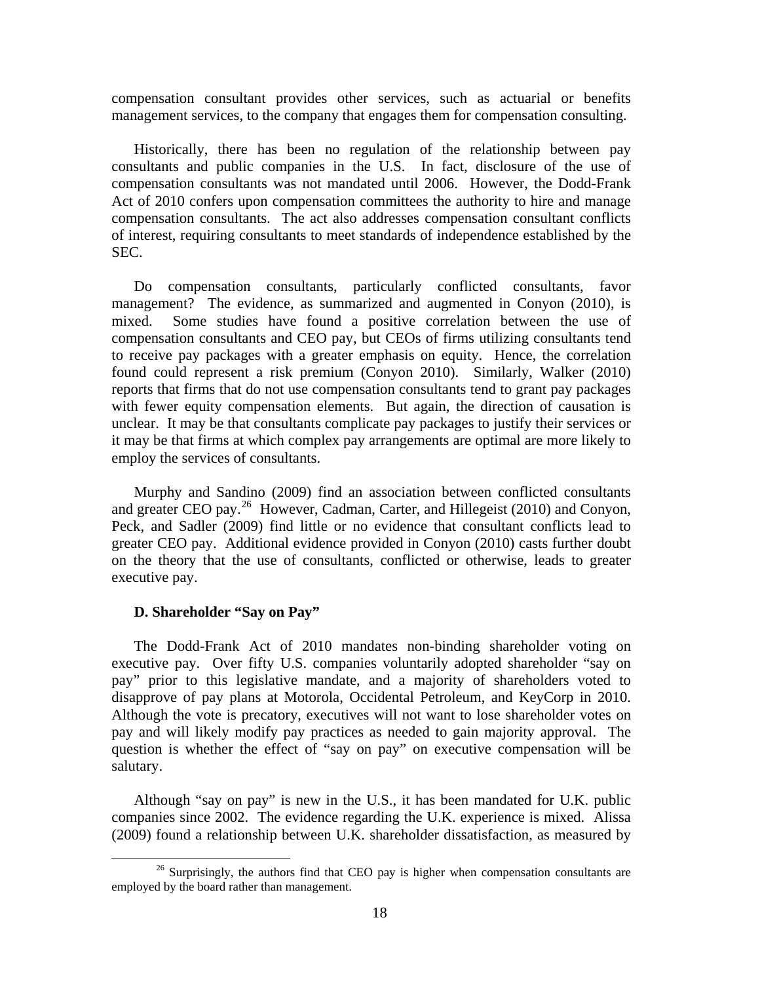compensation consultant provides other services, such as actuarial or benefits management services, to the company that engages them for compensation consulting.

 Historically, there has been no regulation of the relationship between pay consultants and public companies in the U.S. In fact, disclosure of the use of compensation consultants was not mandated until 2006. However, the Dodd-Frank Act of 2010 confers upon compensation committees the authority to hire and manage compensation consultants. The act also addresses compensation consultant conflicts of interest, requiring consultants to meet standards of independence established by the SEC.

 Do compensation consultants, particularly conflicted consultants, favor management? The evidence, as summarized and augmented in Conyon (2010), is mixed. Some studies have found a positive correlation between the use of compensation consultants and CEO pay, but CEOs of firms utilizing consultants tend to receive pay packages with a greater emphasis on equity. Hence, the correlation found could represent a risk premium (Conyon 2010). Similarly, Walker (2010) reports that firms that do not use compensation consultants tend to grant pay packages with fewer equity compensation elements. But again, the direction of causation is unclear. It may be that consultants complicate pay packages to justify their services or it may be that firms at which complex pay arrangements are optimal are more likely to employ the services of consultants.

 Murphy and Sandino (2009) find an association between conflicted consultants and greater CEO pay.<sup>[26](#page-19-0)</sup> However, Cadman, Carter, and Hillegeist (2010) and Conyon, Peck, and Sadler (2009) find little or no evidence that consultant conflicts lead to greater CEO pay. Additional evidence provided in Conyon (2010) casts further doubt on the theory that the use of consultants, conflicted or otherwise, leads to greater executive pay.

#### **D. Shareholder "Say on Pay"**

 The Dodd-Frank Act of 2010 mandates non-binding shareholder voting on executive pay. Over fifty U.S. companies voluntarily adopted shareholder "say on pay" prior to this legislative mandate, and a majority of shareholders voted to disapprove of pay plans at Motorola, Occidental Petroleum, and KeyCorp in 2010. Although the vote is precatory, executives will not want to lose shareholder votes on pay and will likely modify pay practices as needed to gain majority approval. The question is whether the effect of "say on pay" on executive compensation will be salutary.

 Although "say on pay" is new in the U.S., it has been mandated for U.K. public companies since 2002. The evidence regarding the U.K. experience is mixed. Alissa (2009) found a relationship between U.K. shareholder dissatisfaction, as measured by

<span id="page-19-0"></span> $26$  Surprisingly, the authors find that CEO pay is higher when compensation consultants are employed by the board rather than management.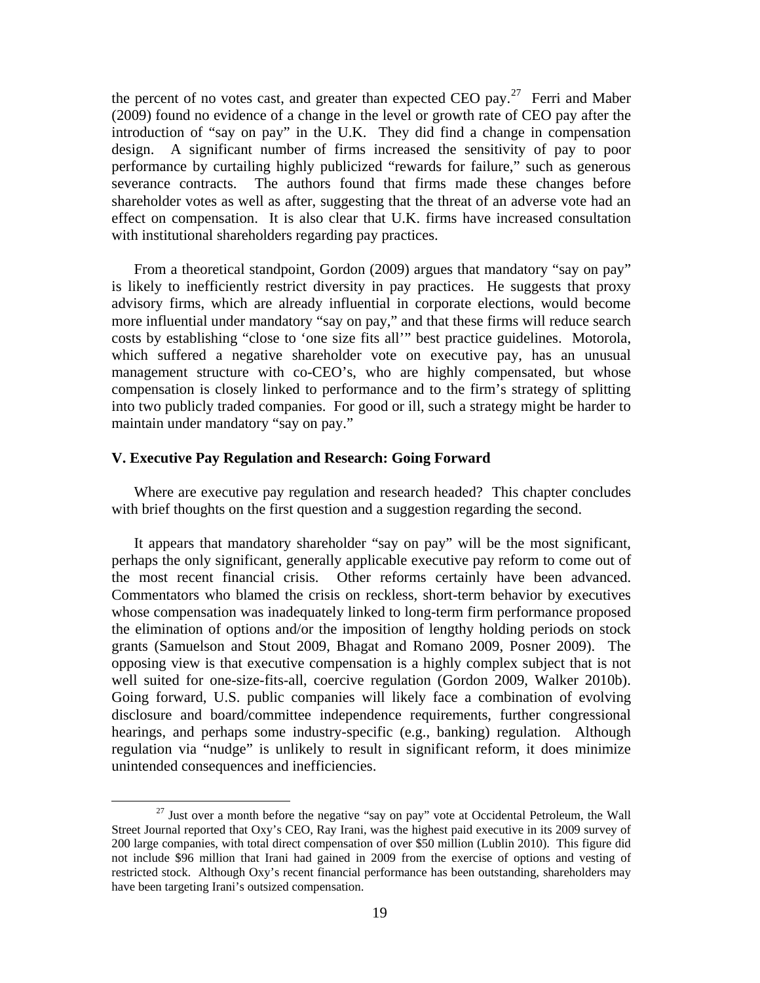the percent of no votes cast, and greater than expected CEO pay.<sup>[27](#page-20-0)</sup> Ferri and Maber (2009) found no evidence of a change in the level or growth rate of CEO pay after the introduction of "say on pay" in the U.K. They did find a change in compensation design. A significant number of firms increased the sensitivity of pay to poor performance by curtailing highly publicized "rewards for failure," such as generous severance contracts. The authors found that firms made these changes before shareholder votes as well as after, suggesting that the threat of an adverse vote had an effect on compensation. It is also clear that U.K. firms have increased consultation with institutional shareholders regarding pay practices.

 From a theoretical standpoint, Gordon (2009) argues that mandatory "say on pay" is likely to inefficiently restrict diversity in pay practices. He suggests that proxy advisory firms, which are already influential in corporate elections, would become more influential under mandatory "say on pay," and that these firms will reduce search costs by establishing "close to 'one size fits all'" best practice guidelines. Motorola, which suffered a negative shareholder vote on executive pay, has an unusual management structure with co-CEO's, who are highly compensated, but whose compensation is closely linked to performance and to the firm's strategy of splitting into two publicly traded companies. For good or ill, such a strategy might be harder to maintain under mandatory "say on pay."

# **V. Executive Pay Regulation and Research: Going Forward**

 Where are executive pay regulation and research headed? This chapter concludes with brief thoughts on the first question and a suggestion regarding the second.

 It appears that mandatory shareholder "say on pay" will be the most significant, perhaps the only significant, generally applicable executive pay reform to come out of the most recent financial crisis. Other reforms certainly have been advanced. Commentators who blamed the crisis on reckless, short-term behavior by executives whose compensation was inadequately linked to long-term firm performance proposed the elimination of options and/or the imposition of lengthy holding periods on stock grants (Samuelson and Stout 2009, Bhagat and Romano 2009, Posner 2009). The opposing view is that executive compensation is a highly complex subject that is not well suited for one-size-fits-all, coercive regulation (Gordon 2009, Walker 2010b). Going forward, U.S. public companies will likely face a combination of evolving disclosure and board/committee independence requirements, further congressional hearings, and perhaps some industry-specific (e.g., banking) regulation. Although regulation via "nudge" is unlikely to result in significant reform, it does minimize unintended consequences and inefficiencies.

<span id="page-20-0"></span> $27$  Just over a month before the negative "say on pay" vote at Occidental Petroleum, the Wall Street Journal reported that Oxy's CEO, Ray Irani, was the highest paid executive in its 2009 survey of 200 large companies, with total direct compensation of over \$50 million (Lublin 2010). This figure did not include \$96 million that Irani had gained in 2009 from the exercise of options and vesting of restricted stock. Although Oxy's recent financial performance has been outstanding, shareholders may have been targeting Irani's outsized compensation.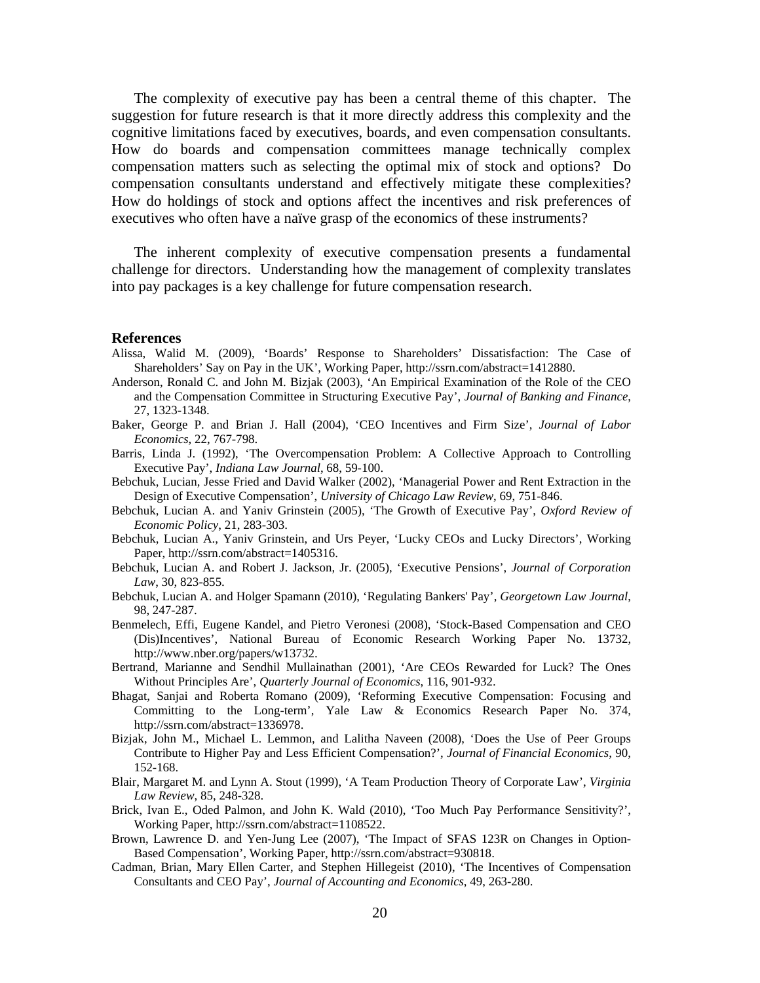The complexity of executive pay has been a central theme of this chapter. The suggestion for future research is that it more directly address this complexity and the cognitive limitations faced by executives, boards, and even compensation consultants. How do boards and compensation committees manage technically complex compensation matters such as selecting the optimal mix of stock and options? Do compensation consultants understand and effectively mitigate these complexities? How do holdings of stock and options affect the incentives and risk preferences of executives who often have a naïve grasp of the economics of these instruments?

 The inherent complexity of executive compensation presents a fundamental challenge for directors. Understanding how the management of complexity translates into pay packages is a key challenge for future compensation research.

#### **References**

- Alissa, Walid M. (2009), 'Boards' Response to Shareholders' Dissatisfaction: The Case of Shareholders' Say on Pay in the UK', Working Paper, http://ssrn.com/abstract=1412880.
- Anderson, Ronald C. and John M. Bizjak (2003), 'An Empirical Examination of the Role of the CEO and the Compensation Committee in Structuring Executive Pay', *Journal of Banking and Finance*, 27, 1323-1348.
- Baker, George P. and Brian J. Hall (2004), 'CEO Incentives and Firm Size', *Journal of Labor Economics*, 22, 767-798.
- Barris, Linda J. (1992), 'The Overcompensation Problem: A Collective Approach to Controlling Executive Pay', *Indiana Law Journal*, 68, 59-100.
- Bebchuk, Lucian, Jesse Fried and David Walker (2002), 'Managerial Power and Rent Extraction in the Design of Executive Compensation', *University of Chicago Law Review*, 69, 751-846.
- Bebchuk, Lucian A. and Yaniv Grinstein (2005), 'The Growth of Executive Pay', *Oxford Review of Economic Policy*, 21, 283-303.
- Bebchuk, Lucian A., Yaniv Grinstein, and Urs Peyer, 'Lucky CEOs and Lucky Directors', Working Paper, http://ssrn.com/abstract=1405316.
- Bebchuk, Lucian A. and Robert J. Jackson, Jr. (2005), 'Executive Pensions', *Journal of Corporation Law*, 30, 823-855.
- Bebchuk, Lucian A. and Holger Spamann (2010), 'Regulating Bankers' Pay', *Georgetown Law Journal*, 98, 247-287.
- Benmelech, Effi, Eugene Kandel, and Pietro Veronesi (2008), 'Stock-Based Compensation and CEO (Dis)Incentives', National Bureau of Economic Research Working Paper No. 13732, http://www.nber.org/papers/w13732.
- Bertrand, Marianne and Sendhil Mullainathan (2001), 'Are CEOs Rewarded for Luck? The Ones Without Principles Are', *Quarterly Journal of Economics*, 116, 901-932.
- Bhagat, Sanjai and Roberta Romano (2009), 'Reforming Executive Compensation: Focusing and Committing to the Long-term', Yale Law & Economics Research Paper No. 374, http://ssrn.com/abstract=1336978.
- Bizjak, John M., Michael L. Lemmon, and Lalitha Naveen (2008), 'Does the Use of Peer Groups Contribute to Higher Pay and Less Efficient Compensation?', *Journal of Financial Economics*, 90, 152-168.
- Blair, Margaret M. and Lynn A. Stout (1999), 'A Team Production Theory of Corporate Law', *Virginia Law Review*, 85, 248-328.
- Brick, Ivan E., Oded Palmon, and John K. Wald (2010), 'Too Much Pay Performance Sensitivity?', Working Paper, http://ssrn.com/abstract=1108522.
- Brown, Lawrence D. and Yen-Jung Lee (2007), 'The Impact of SFAS 123R on Changes in Option-Based Compensation', Working Paper, http://ssrn.com/abstract=930818.
- Cadman, Brian, Mary Ellen Carter, and Stephen Hillegeist (2010), 'The Incentives of Compensation Consultants and CEO Pay', *Journal of Accounting and Economics*, 49, 263-280.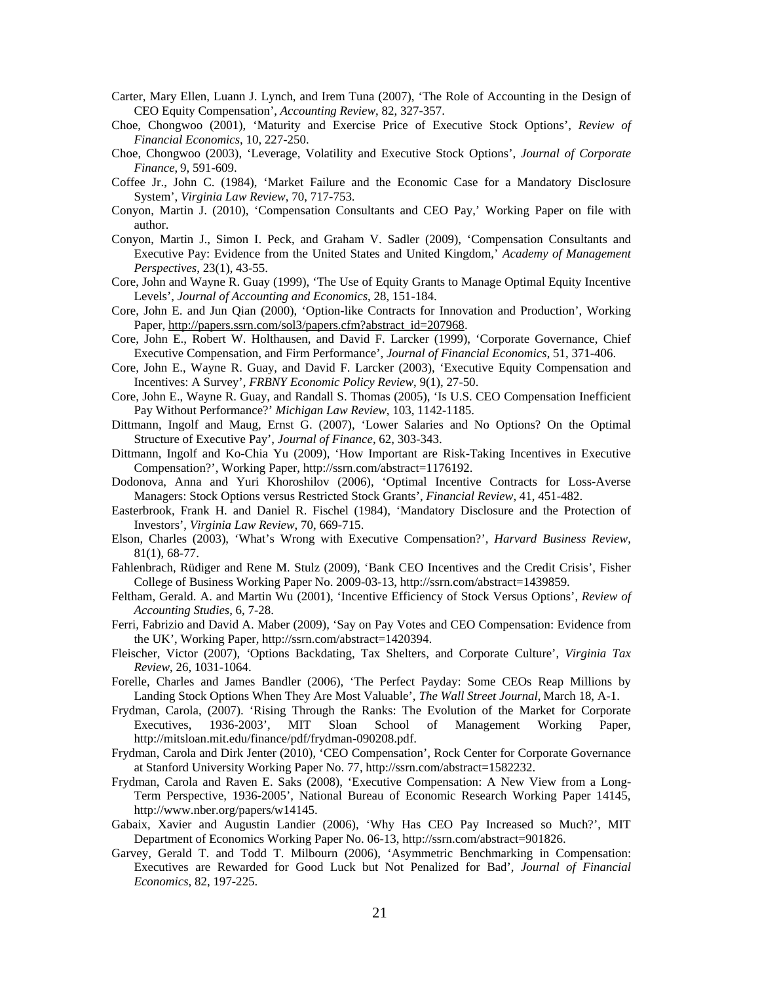- Carter, Mary Ellen, Luann J. Lynch, and Irem Tuna (2007), 'The Role of Accounting in the Design of CEO Equity Compensation', *Accounting Review*, 82, 327-357.
- Choe, Chongwoo (2001), 'Maturity and Exercise Price of Executive Stock Options', *Review of Financial Economics*, 10, 227-250.
- Choe, Chongwoo (2003), 'Leverage, Volatility and Executive Stock Options', *Journal of Corporate Finance*, 9, 591-609.
- Coffee Jr., John C. (1984), 'Market Failure and the Economic Case for a Mandatory Disclosure System', *Virginia Law Review*, 70, 717-753.
- Conyon, Martin J. (2010), 'Compensation Consultants and CEO Pay,' Working Paper on file with author.
- Conyon, Martin J., Simon I. Peck, and Graham V. Sadler (2009), 'Compensation Consultants and Executive Pay: Evidence from the United States and United Kingdom,' *Academy of Management Perspectives*, 23(1), 43-55.
- Core, John and Wayne R. Guay (1999), 'The Use of Equity Grants to Manage Optimal Equity Incentive Levels', *Journal of Accounting and Economics*, 28, 151-184.
- Core, John E. and Jun Qian (2000), 'Option-like Contracts for Innovation and Production', Working Paper, [http://papers.ssrn.com/sol3/papers.cfm?abstract\\_id=207968](http://papers.ssrn.com/sol3/papers.cfm?abstract_id=207968).
- Core, John E., Robert W. Holthausen, and David F. Larcker (1999), 'Corporate Governance, Chief Executive Compensation, and Firm Performance', *Journal of Financial Economics*, 51, 371-406.
- Core, John E., Wayne R. Guay, and David F. Larcker (2003), 'Executive Equity Compensation and Incentives: A Survey', *FRBNY Economic Policy Review*, 9(1), 27-50.
- Core, John E., Wayne R. Guay, and Randall S. Thomas (2005), 'Is U.S. CEO Compensation Inefficient Pay Without Performance?' *Michigan Law Review*, 103, 1142-1185.
- Dittmann, Ingolf and Maug, Ernst G. (2007), 'Lower Salaries and No Options? On the Optimal Structure of Executive Pay', *Journal of Finance*, 62, 303-343.
- Dittmann, Ingolf and Ko-Chia Yu (2009), 'How Important are Risk-Taking Incentives in Executive Compensation?', Working Paper, http://ssrn.com/abstract=1176192.
- Dodonova, Anna and Yuri Khoroshilov (2006), 'Optimal Incentive Contracts for Loss-Averse Managers: Stock Options versus Restricted Stock Grants', *Financial Review*, 41, 451-482.
- Easterbrook, Frank H. and Daniel R. Fischel (1984), 'Mandatory Disclosure and the Protection of Investors', *Virginia Law Review*, 70, 669-715.
- Elson, Charles (2003), 'What's Wrong with Executive Compensation?'*, Harvard Business Review*, 81(1), 68-77.
- Fahlenbrach, Rüdiger and Rene M. Stulz (2009), 'Bank CEO Incentives and the Credit Crisis', Fisher College of Business Working Paper No. 2009-03-13, http://ssrn.com/abstract=1439859.
- Feltham, Gerald. A. and Martin Wu (2001), 'Incentive Efficiency of Stock Versus Options', *Review of Accounting Studies*, 6, 7-28.
- Ferri, Fabrizio and David A. Maber (2009), 'Say on Pay Votes and CEO Compensation: Evidence from the UK', Working Paper, http://ssrn.com/abstract=1420394.
- Fleischer, Victor (2007)*, '*Options Backdating, Tax Shelters, and Corporate Culture', *Virginia Tax Review*, 26, 1031-1064.
- Forelle, Charles and James Bandler (2006), 'The Perfect Payday: Some CEOs Reap Millions by Landing Stock Options When They Are Most Valuable', *The Wall Street Journal*, March 18, A-1.
- Frydman, Carola, (2007). 'Rising Through the Ranks: The Evolution of the Market for Corporate Executives, 1936-2003', MIT Sloan School of Management Working Paper, http://mitsloan.mit.edu/finance/pdf/frydman-090208.pdf.
- Frydman, Carola and Dirk Jenter (2010), 'CEO Compensation', Rock Center for Corporate Governance at Stanford University Working Paper No. 77, http://ssrn.com/abstract=1582232.
- Frydman, Carola and Raven E. Saks (2008), 'Executive Compensation: A New View from a Long-Term Perspective, 1936-2005', National Bureau of Economic Research Working Paper 14145, http://www.nber.org/papers/w14145.
- Gabaix, Xavier and Augustin Landier (2006), 'Why Has CEO Pay Increased so Much?', MIT Department of Economics Working Paper No. 06-13, http://ssrn.com/abstract=901826.
- Garvey, Gerald T. and Todd T. Milbourn (2006), 'Asymmetric Benchmarking in Compensation: Executives are Rewarded for Good Luck but Not Penalized for Bad', *Journal of Financial Economics*, 82, 197-225.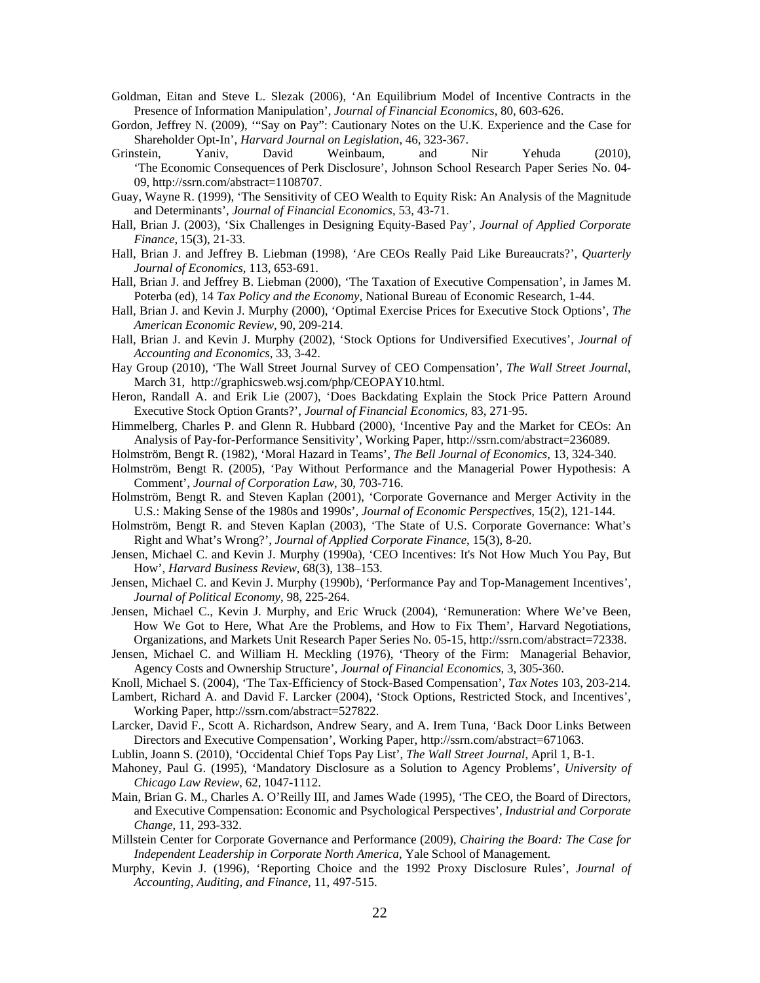- Goldman, Eitan and Steve L. Slezak (2006), 'An Equilibrium Model of Incentive Contracts in the Presence of Information Manipulation', *Journal of Financial Economics*, 80, 603-626.
- Gordon, Jeffrey N. (2009), '"Say on Pay": Cautionary Notes on the U.K. Experience and the Case for Shareholder Opt-In', *Harvard Journal on Legislation*, 46, 323-367.
- Grinstein, Yaniv, David Weinbaum, and Nir Yehuda (2010), 'The Economic Consequences of Perk Disclosure', Johnson School Research Paper Series No. 04- 09, http://ssrn.com/abstract=1108707.
- Guay, Wayne R. (1999), 'The Sensitivity of CEO Wealth to Equity Risk: An Analysis of the Magnitude and Determinants', *Journal of Financial Economics*, 53, 43-71.
- Hall, Brian J. (2003), 'Six Challenges in Designing Equity-Based Pay', *Journal of Applied Corporate Finance*, 15(3), 21-33.
- Hall, Brian J. and Jeffrey B. Liebman (1998), 'Are CEOs Really Paid Like Bureaucrats?', *Quarterly Journal of Economics*, 113, 653-691.
- Hall, Brian J. and Jeffrey B. Liebman (2000), 'The Taxation of Executive Compensation', in James M. Poterba (ed), 14 *Tax Policy and the Economy*, National Bureau of Economic Research, 1-44.
- Hall, Brian J. and Kevin J. Murphy (2000), 'Optimal Exercise Prices for Executive Stock Options', *The American Economic Review*, 90, 209-214.
- Hall, Brian J. and Kevin J. Murphy (2002), 'Stock Options for Undiversified Executives', *Journal of Accounting and Economics*, 33, 3-42.
- Hay Group (2010), 'The Wall Street Journal Survey of CEO Compensation', *The Wall Street Journal*, March 31, http://graphicsweb.wsj.com/php/CEOPAY10.html.
- Heron, Randall A. and Erik Lie (2007), 'Does Backdating Explain the Stock Price Pattern Around Executive Stock Option Grants?', *Journal of Financial Economics*, 83, 271‐95.
- Himmelberg, Charles P. and Glenn R. Hubbard (2000), 'Incentive Pay and the Market for CEOs: An Analysis of Pay-for-Performance Sensitivity', Working Paper, http://ssrn.com/abstract=236089.
- Holmström, Bengt R. (1982), 'Moral Hazard in Teams', *The Bell Journal of Economics*, 13, 324-340.
- Holmström, Bengt R. (2005), 'Pay Without Performance and the Managerial Power Hypothesis: A Comment', *Journal of Corporation Law*, 30, 703-716.
- Holmström, Bengt R. and Steven Kaplan (2001), 'Corporate Governance and Merger Activity in the U.S.: Making Sense of the 1980s and 1990s', *Journal of Economic Perspectives*, 15(2), 121-144.
- Holmström, Bengt R. and Steven Kaplan (2003), 'The State of U.S. Corporate Governance: What's Right and What's Wrong?', *Journal of Applied Corporate Finance*, 15(3), 8-20.
- Jensen, Michael C. and Kevin J. Murphy (1990a), 'CEO Incentives: It's Not How Much You Pay, But How', *Harvard Business Review*, 68(3), 138–153.
- Jensen, Michael C. and Kevin J. Murphy (1990b), 'Performance Pay and Top-Management Incentives', *Journal of Political Economy*, 98, 225-264.
- Jensen, Michael C., Kevin J. Murphy, and Eric Wruck (2004), 'Remuneration: Where We've Been, How We Got to Here, What Are the Problems, and How to Fix Them', Harvard Negotiations, Organizations, and Markets Unit Research Paper Series No. 05-15, http://ssrn.com/abstract=72338.
- Jensen, Michael C. and William H. Meckling (1976), 'Theory of the Firm: Managerial Behavior, Agency Costs and Ownership Structure', *Journal of Financial Economics*, 3, 305-360.
- Knoll, Michael S. (2004), 'The Tax-Efficiency of Stock-Based Compensation', *Tax Notes* 103, 203-214.
- Lambert, Richard A. and David F. Larcker (2004), 'Stock Options, Restricted Stock, and Incentives', Working Paper, http://ssrn.com/abstract=527822.
- Larcker, David F., Scott A. Richardson, Andrew Seary, and A. Irem Tuna, 'Back Door Links Between Directors and Executive Compensation', Working Paper, http://ssrn.com/abstract=671063.
- Lublin, Joann S. (2010), 'Occidental Chief Tops Pay List', *The Wall Street Journal*, April 1, B-1.
- Mahoney, Paul G. (1995), 'Mandatory Disclosure as a Solution to Agency Problems', *University of Chicago Law Review*, 62, 1047-1112.
- Main, Brian G. M., Charles A. O'Reilly III, and James Wade (1995), 'The CEO, the Board of Directors, and Executive Compensation: Economic and Psychological Perspectives', *Industrial and Corporate Change*, 11, 293-332.
- Millstein Center for Corporate Governance and Performance (2009), *Chairing the Board: The Case for Independent Leadership in Corporate North America*, Yale School of Management.
- Murphy, Kevin J. (1996), 'Reporting Choice and the 1992 Proxy Disclosure Rules', *Journal of Accounting, Auditing, and Finance*, 11, 497-515.